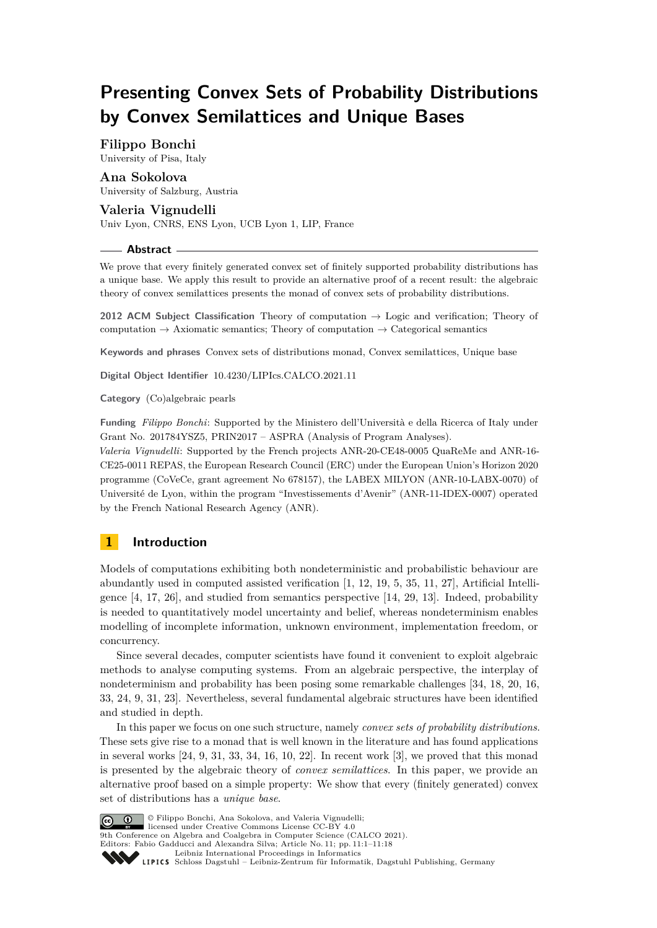# **Presenting Convex Sets of Probability Distributions by Convex Semilattices and Unique Bases**

# **Filippo Bonchi**

University of Pisa, Italy

# **Ana Sokolova**

University of Salzburg, Austria

# **Valeria Vignudelli**

Univ Lyon, CNRS, ENS Lyon, UCB Lyon 1, LIP, France

# **Abstract**

We prove that every finitely generated convex set of finitely supported probability distributions has a unique base. We apply this result to provide an alternative proof of a recent result: the algebraic theory of convex semilattices presents the monad of convex sets of probability distributions.

**2012 ACM Subject Classification** Theory of computation → Logic and verification; Theory of computation  $\rightarrow$  Axiomatic semantics; Theory of computation  $\rightarrow$  Categorical semantics

**Keywords and phrases** Convex sets of distributions monad, Convex semilattices, Unique base

**Digital Object Identifier** [10.4230/LIPIcs.CALCO.2021.11](https://doi.org/10.4230/LIPIcs.CALCO.2021.11)

**Category** (Co)algebraic pearls

**Funding** *Filippo Bonchi*: Supported by the Ministero dell'Università e della Ricerca of Italy under Grant No. 201784YSZ5, PRIN2017 – ASPRA (Analysis of Program Analyses).

*Valeria Vignudelli*: Supported by the French projects ANR-20-CE48-0005 QuaReMe and ANR-16- CE25-0011 REPAS, the European Research Council (ERC) under the European Union's Horizon 2020 programme (CoVeCe, grant agreement No 678157), the LABEX MILYON (ANR-10-LABX-0070) of Université de Lyon, within the program "Investissements d'Avenir" (ANR-11-IDEX-0007) operated by the French National Research Agency (ANR).

# **1 Introduction**

Models of computations exhibiting both nondeterministic and probabilistic behaviour are abundantly used in computed assisted verification [\[1,](#page-15-0) [12,](#page-15-1) [19,](#page-15-2) [5,](#page-15-3) [35,](#page-16-0) [11,](#page-15-4) [27\]](#page-16-1), Artificial Intelligence [\[4,](#page-15-5) [17,](#page-15-6) [26\]](#page-16-2), and studied from semantics perspective [\[14,](#page-15-7) [29,](#page-16-3) [13\]](#page-15-8). Indeed, probability is needed to quantitatively model uncertainty and belief, whereas nondeterminism enables modelling of incomplete information, unknown environment, implementation freedom, or concurrency.

Since several decades, computer scientists have found it convenient to exploit algebraic methods to analyse computing systems. From an algebraic perspective, the interplay of nondeterminism and probability has been posing some remarkable challenges [\[34,](#page-16-4) [18,](#page-15-9) [20,](#page-15-10) [16,](#page-15-11) [33,](#page-16-5) [24,](#page-16-6) [9,](#page-15-12) [31,](#page-16-7) [23\]](#page-16-8). Nevertheless, several fundamental algebraic structures have been identified and studied in depth.

In this paper we focus on one such structure, namely *convex sets of probability distributions*. These sets give rise to a monad that is well known in the literature and has found applications in several works  $[24, 9, 31, 33, 34, 16, 10, 22]$  $[24, 9, 31, 33, 34, 16, 10, 22]$  $[24, 9, 31, 33, 34, 16, 10, 22]$  $[24, 9, 31, 33, 34, 16, 10, 22]$  $[24, 9, 31, 33, 34, 16, 10, 22]$  $[24, 9, 31, 33, 34, 16, 10, 22]$  $[24, 9, 31, 33, 34, 16, 10, 22]$  $[24, 9, 31, 33, 34, 16, 10, 22]$  $[24, 9, 31, 33, 34, 16, 10, 22]$  $[24, 9, 31, 33, 34, 16, 10, 22]$  $[24, 9, 31, 33, 34, 16, 10, 22]$  $[24, 9, 31, 33, 34, 16, 10, 22]$  $[24, 9, 31, 33, 34, 16, 10, 22]$  $[24, 9, 31, 33, 34, 16, 10, 22]$  $[24, 9, 31, 33, 34, 16, 10, 22]$ . In recent work  $[3]$ , we proved that this monad is presented by the algebraic theory of *convex semilattices*. In this paper, we provide an alternative proof based on a simple property: We show that every (finitely generated) convex set of distributions has a *unique base*.



© Filippo Bonchi, Ana Sokolova, and Valeria Vignudelli;

licensed under Creative Commons License CC-BY 4.0 9th Conference on Algebra and Coalgebra in Computer Science (CALCO 2021).

Editors: Fabio Gadducci and Alexandra Silva; Article No. 11; pp. 11:1–11:18

[Leibniz International Proceedings in Informatics](https://www.dagstuhl.de/lipics/)

Leibniz international ruceedings in miorimetric<br>
LIPICS [Schloss Dagstuhl – Leibniz-Zentrum für Informatik, Dagstuhl Publishing, Germany](https://www.dagstuhl.de)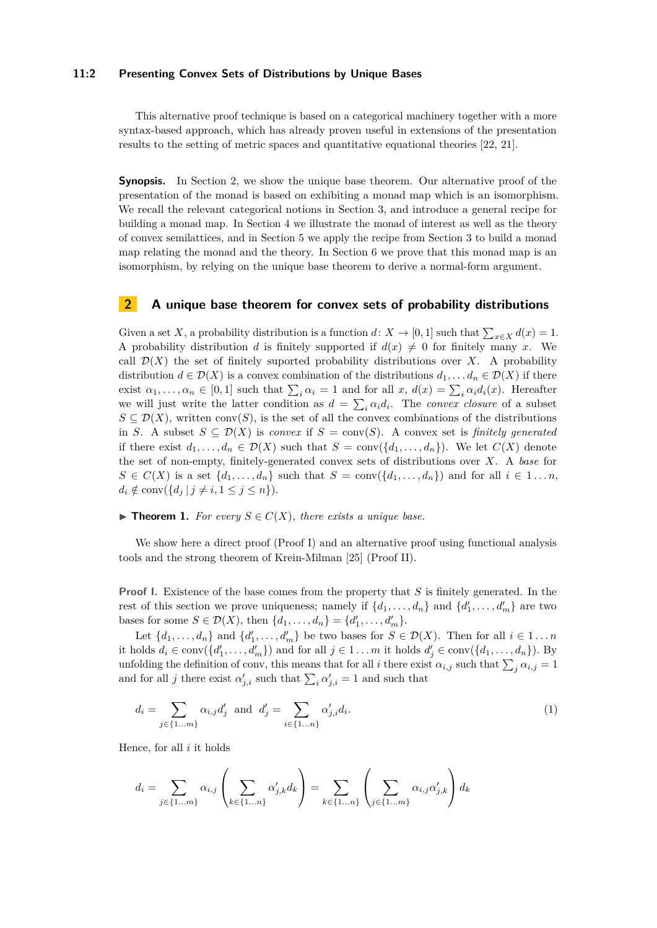#### **11:2 Presenting Convex Sets of Distributions by Unique Bases**

This alternative proof technique is based on a categorical machinery together with a more syntax-based approach, which has already proven useful in extensions of the presentation results to the setting of metric spaces and quantitative equational theories [\[22,](#page-16-9) [21\]](#page-16-10).

**Synopsis.** In Section [2,](#page-1-0) we show the unique base theorem. Our alternative proof of the presentation of the monad is based on exhibiting a monad map which is an isomorphism. We recall the relevant categorical notions in Section [3,](#page-3-0) and introduce a general recipe for building a monad map. In Section [4](#page-7-0) we illustrate the monad of interest as well as the theory of convex semilattices, and in Section [5](#page-8-0) we apply the recipe from Section [3](#page-3-0) to build a monad map relating the monad and the theory. In Section [6](#page-12-0) we prove that this monad map is an isomorphism, by relying on the unique base theorem to derive a normal-form argument.

# <span id="page-1-0"></span>**2 A unique base theorem for convex sets of probability distributions**

Given a set *X*, a probability distribution is a function *d*: *X* → [0, 1] such that  $\sum_{x \in X} d(x) = 1$ . A probability distribution *d* is finitely supported if  $d(x) \neq 0$  for finitely many *x*. We call  $\mathcal{D}(X)$  the set of finitely suported probability distributions over X. A probability distribution  $d \in \mathcal{D}(X)$  is a convex combination of the distributions  $d_1, \ldots, d_n \in \mathcal{D}(X)$  if there exist  $\alpha_1, \ldots, \alpha_n \in [0, 1]$  such that  $\sum_i \alpha_i = 1$  and for all  $x, d(x) = \sum_i \alpha_i d_i(x)$ . Hereafter we will just write the latter condition as  $d = \sum_i \alpha_i d_i$ . The *convex closure* of a subset  $S \subseteq \mathcal{D}(X)$ , written conv $(S)$ , is the set of all the convex combinations of the distributions in *S*. A subset  $S \subseteq \mathcal{D}(X)$  is *convex* if  $S = \text{conv}(S)$ . A convex set is *finitely generated* if there exist  $d_1, \ldots, d_n \in \mathcal{D}(X)$  such that  $S = \text{conv}(\{d_1, \ldots, d_n\})$ . We let  $C(X)$  denote the set of non-empty, finitely-generated convex sets of distributions over *X*. A *base* for  $S \in C(X)$  is a set  $\{d_1, \ldots, d_n\}$  such that  $S = \text{conv}(\{d_1, \ldots, d_n\})$  and for all  $i \in 1 \ldots n$ ,  $d_i \notin \text{conv}(\{d_j \mid j \neq i, 1 \leq j \leq n\}).$ 

#### <span id="page-1-2"></span>▶ **Theorem 1.** *For every*  $S \in C(X)$ *, there exists a unique base.*

We show here a direct proof (Proof I) and an alternative proof using functional analysis tools and the strong theorem of Krein-Milman [\[25\]](#page-16-11) (Proof II).

**Proof I.** Existence of the base comes from the property that *S* is finitely generated. In the rest of this section we prove uniqueness; namely if  $\{d_1, \ldots, d_n\}$  and  $\{d'_1, \ldots, d'_m\}$  are two bases for some  $S \in \mathcal{D}(X)$ , then  $\{d_1, ..., d_n\} = \{d'_1, ..., d'_m\}.$ 

Let  $\{d_1, \ldots, d_n\}$  and  $\{d'_1, \ldots, d'_m\}$  be two bases for  $S \in \mathcal{D}(X)$ . Then for all  $i \in 1 \ldots n$ it holds  $d_i \in \text{conv}(\{d'_1, \ldots, d'_m\})$  and for all  $j \in 1 \ldots m$  it holds  $d'_j \in \text{conv}(\{d_1, \ldots, d_n\})$ . By unfolding the definition of conv, this means that for all *i* there exist  $\alpha_{i,j}$  such that  $\sum_j \alpha_{i,j} = 1$ and for all *j* there exist  $\alpha'_{j,i}$  such that  $\sum_i \alpha'_{j,i} = 1$  and such that

<span id="page-1-1"></span>
$$
d_i = \sum_{j \in \{1...m\}} \alpha_{i,j} d'_j \text{ and } d'_j = \sum_{i \in \{1...n\}} \alpha'_{j,i} d_i. \tag{1}
$$

Hence, for all *i* it holds

$$
d_i = \sum_{j \in \{1...m\}} \alpha_{i,j} \left( \sum_{k \in \{1...n\}} \alpha'_{j,k} d_k \right) = \sum_{k \in \{1...n\}} \left( \sum_{j \in \{1...m\}} \alpha_{i,j} \alpha'_{j,k} \right) d_k
$$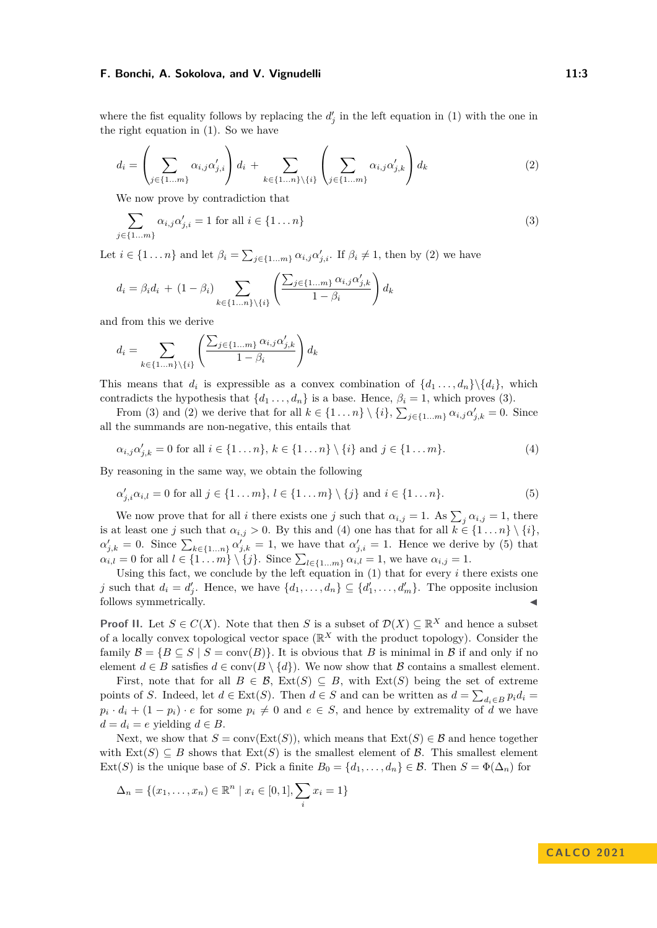where the fist equality follows by replacing the  $d'_{j}$  in the left equation in [\(1\)](#page-1-1) with the one in the right equation in [\(1\)](#page-1-1). So we have

<span id="page-2-0"></span>
$$
d_i = \left(\sum_{j \in \{1...m\}} \alpha_{i,j} \alpha'_{j,i}\right) d_i + \sum_{k \in \{1...n\} \setminus \{i\}} \left(\sum_{j \in \{1...m\}} \alpha_{i,j} \alpha'_{j,k}\right) d_k
$$
 (2)

We now prove by contradiction that

<span id="page-2-1"></span>
$$
\sum_{i \in \{1...m\}} \alpha_{i,j} \alpha'_{j,i} = 1 \text{ for all } i \in \{1...n\}
$$
\n
$$
(3)
$$

Let  $i \in \{1 \dots n\}$  and let  $\beta_i = \sum_{j \in \{1 \dots m\}} \alpha_{i,j} \alpha'_{j,i}$ . If  $\beta_i \neq 1$ , then by [\(2\)](#page-2-0) we have

$$
d_i = \beta_i d_i + (1 - \beta_i) \sum_{k \in \{1...n\} \setminus \{i\}} \left( \frac{\sum_{j \in \{1...m\}} \alpha_{i,j} \alpha'_{j,k}}{1 - \beta_i} \right) d_k
$$

and from this we derive

*j*∈{1*...m*}

$$
d_i = \sum_{k \in \{1...n\} \setminus \{i\}} \left( \frac{\sum_{j \in \{1...m\}} \alpha_{i,j} \alpha'_{j,k}}{1 - \beta_i} \right) d_k
$$

This means that  $d_i$  is expressible as a convex combination of  $\{d_1, \ldots, d_n\} \setminus \{d_i\}$ , which contradicts the hypothesis that  $\{d_1 \ldots, d_n\}$  is a base. Hence,  $\beta_i = 1$ , which proves [\(3\)](#page-2-1).

From [\(3\)](#page-2-1) and [\(2\)](#page-2-0) we derive that for all  $k \in \{1 \dots n\} \setminus \{i\}, \sum_{j \in \{1 \dots m\}} \alpha_{i,j} \alpha'_{j,k} = 0$ . Since all the summands are non-negative, this entails that

<span id="page-2-2"></span>
$$
\alpha_{i,j}\alpha'_{j,k} = 0 \text{ for all } i \in \{1 \dots n\}, k \in \{1 \dots n\} \setminus \{i\} \text{ and } j \in \{1 \dots m\}. \tag{4}
$$

By reasoning in the same way, we obtain the following

<span id="page-2-3"></span>
$$
\alpha'_{j,i}\alpha_{i,l} = 0 \text{ for all } j \in \{1 \dots m\}, l \in \{1 \dots m\} \setminus \{j\} \text{ and } i \in \{1 \dots n\}. \tag{5}
$$

We now prove that for all *i* there exists one *j* such that  $\alpha_{i,j} = 1$ . As  $\sum_{j} \alpha_{i,j} = 1$ , there is at least one *j* such that  $\alpha_{i,j} > 0$ . By this and [\(4\)](#page-2-2) one has that for all  $k \in \{1 \dots n\} \setminus \{i\}$ ,  $\alpha'_{j,k} = 0$ . Since  $\sum_{k \in \{1...n\}} \alpha'_{j,k} = 1$ , we have that  $\alpha'_{j,i} = 1$ . Hence we derive by [\(5\)](#page-2-3) that  $a_{i,l} = 0$  for all  $l \in \{1...m\} \setminus \{j\}$ . Since  $\sum_{l \in \{1...m\}} a_{i,l} = 1$ , we have  $a_{i,j} = 1$ .

Using this fact, we conclude by the left equation in [\(1\)](#page-1-1) that for every *i* there exists one *j* such that  $d_i = d'_j$ . Hence, we have  $\{d_1, \ldots, d_n\} \subseteq \{d'_1, \ldots, d'_m\}$ . The opposite inclusion follows symmetrically.

**Proof II.** Let  $S \in C(X)$ . Note that then *S* is a subset of  $\mathcal{D}(X) \subseteq \mathbb{R}^X$  and hence a subset of a locally convex topological vector space  $(\mathbb{R}^X)$  with the product topology). Consider the family  $\mathcal{B} = \{B \subseteq S \mid S = \text{conv}(B)\}\$ . It is obvious that *B* is minimal in *B* if and only if no element  $d \in B$  satisfies  $d \in \text{conv}(B \setminus \{d\})$ . We now show that B contains a smallest element.

First, note that for all  $B \in \mathcal{B}$ ,  $\text{Ext}(S) \subseteq B$ , with  $\text{Ext}(S)$  being the set of extreme points of *S*. Indeed, let  $d \in \text{Ext}(S)$ . Then  $d \in S$  and can be written as  $d = \sum_{d_i \in B} p_i d_i =$  $p_i \cdot d_i + (1 - p_i) \cdot e$  for some  $p_i \neq 0$  and  $e \in S$ , and hence by extremality of *d* we have  $d = d_i = e$  yielding  $d \in B$ .

Next, we show that  $S = \text{conv}(\text{Ext}(S))$ , which means that  $\text{Ext}(S) \in \mathcal{B}$  and hence together with  $\text{Ext}(S) \subseteq B$  shows that  $\text{Ext}(S)$  is the smallest element of  $\mathcal{B}$ . This smallest element  $\text{Ext}(S)$  is the unique base of *S*. Pick a finite  $B_0 = \{d_1, \ldots, d_n\} \in \mathcal{B}$ . Then  $S = \Phi(\Delta_n)$  for

$$
\Delta_n = \{(x_1, \dots, x_n) \in \mathbb{R}^n \mid x_i \in [0, 1], \sum_i x_i = 1\}
$$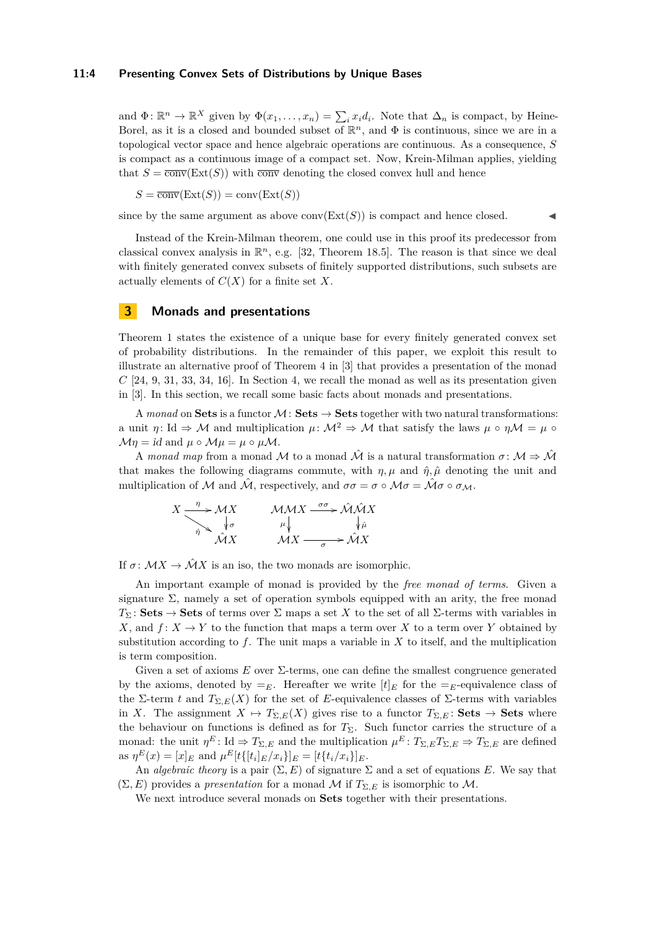#### **11:4 Presenting Convex Sets of Distributions by Unique Bases**

and  $\Phi: \mathbb{R}^n \to \mathbb{R}^X$  given by  $\Phi(x_1, \ldots, x_n) = \sum_i x_i d_i$ . Note that  $\Delta_n$  is compact, by Heine-Borel, as it is a closed and bounded subset of  $\mathbb{R}^n$ , and  $\Phi$  is continuous, since we are in a topological vector space and hence algebraic operations are continuous. As a consequence, *S* is compact as a continuous image of a compact set. Now, Krein-Milman applies, yielding that  $S = \overline{\text{conv}}(\text{Ext}(S))$  with  $\overline{\text{conv}}$  denoting the closed convex hull and hence

 $S = \overline{\text{conv}}(\text{Ext}(S)) = \text{conv}(\text{Ext}(S))$ 

since by the same argument as above  $conv(Ext(S))$  is compact and hence closed.

Instead of the Krein-Milman theorem, one could use in this proof its predecessor from classical convex analysis in  $\mathbb{R}^n$ , e.g. [\[32,](#page-16-12) Theorem 18.5]. The reason is that since we deal with finitely generated convex subsets of finitely supported distributions, such subsets are actually elements of *C*(*X*) for a finite set *X*.

# <span id="page-3-0"></span>**3 Monads and presentations**

Theorem [1](#page-1-2) states the existence of a unique base for every finitely generated convex set of probability distributions. In the remainder of this paper, we exploit this result to illustrate an alternative proof of Theorem 4 in [\[3\]](#page-15-14) that provides a presentation of the monad  $C$  [\[24,](#page-16-6) [9,](#page-15-12) [31,](#page-16-7) [33,](#page-16-5) [34,](#page-16-4) [16\]](#page-15-11). In Section [4,](#page-7-0) we recall the monad as well as its presentation given in [\[3\]](#page-15-14). In this section, we recall some basic facts about monads and presentations.

A *monad* on **Sets** is a functor  $M:$  **Sets**  $\rightarrow$  **Sets** together with two natural transformations: a unit *η*: Id  $\Rightarrow$  M and multiplication  $\mu$ :  $\mathcal{M}^2 \Rightarrow \mathcal{M}$  that satisfy the laws  $\mu \circ \eta \mathcal{M} = \mu \circ \eta$  $\mathcal{M}\eta = id$  and  $\mu \circ \mathcal{M}\mu = \mu \circ \mu \mathcal{M}$ .

A *monad map* from a monad M to a monad  $\hat{\mathcal{M}}$  is a natural transformation  $\sigma \colon \mathcal{M} \Rightarrow \hat{\mathcal{M}}$ that makes the following diagrams commute, with  $\eta$ ,  $\mu$  and  $\hat{\eta}$ ,  $\hat{\mu}$  denoting the unit and multiplication of M and  $\hat{\mathcal{M}}$ , respectively, and  $\sigma \sigma = \sigma \circ \mathcal{M} \sigma = \hat{\mathcal{M}} \sigma \circ \sigma_{\mathcal{M}}$ .

$$
X \xrightarrow{\eta} \mathcal{M}X
$$
  
\n
$$
\downarrow_{\sigma} \qquad \mathcal{M}MX \xrightarrow{\sigma\sigma} \hat{\mathcal{M}}\hat{\mathcal{M}}X
$$
  
\n
$$
\hat{\mathcal{M}}X
$$
  
\n
$$
\mathcal{M}X \xrightarrow{\sigma\sigma} \hat{\mathcal{M}}X
$$
  
\n
$$
\mathcal{M}X \xrightarrow{\sigma} \hat{\mathcal{M}}X
$$

If  $\sigma \colon \mathcal{M}X \to \hat{\mathcal{M}}X$  is an iso, the two monads are isomorphic.

An important example of monad is provided by the *free monad of terms*. Given a signature  $\Sigma$ , namely a set of operation symbols equipped with an arity, the free monad *T*<sub>Σ</sub>: **Sets**  $\rightarrow$  **Sets** of terms over Σ maps a set *X* to the set of all Σ-terms with variables in *X*, and  $f: X \to Y$  to the function that maps a term over *X* to a term over *Y* obtained by substitution according to  $f$ . The unit maps a variable in  $X$  to itself, and the multiplication is term composition.

Given a set of axioms *E* over Σ-terms, one can define the smallest congruence generated by the axioms, denoted by  $=$ <sub>E</sub>. Hereafter we write  $[t]_E$  for the  $=$ <sub>E</sub>-equivalence class of the Σ-term *t* and  $T_{\Sigma,E}(X)$  for the set of *E*-equivalence classes of Σ-terms with variables in *X*. The assignment  $X \mapsto T_{\Sigma,E}(X)$  gives rise to a functor  $T_{\Sigma,E}:$  Sets  $\rightarrow$  Sets where the behaviour on functions is defined as for  $T_{\Sigma}$ . Such functor carries the structure of a monad: the unit  $\eta^E$ : Id  $\Rightarrow T_{\Sigma,E}$  and the multiplication  $\mu^E: T_{\Sigma,E}T_{\Sigma,E} \Rightarrow T_{\Sigma,E}$  are defined as  $\eta^{E}(x) = [x]_{E}$  and  $\mu^{E}[t\{[t_i]_{E}/x_i\}]_{E} = [t\{t_i/x_i\}]_{E}.$ 

An *algebraic theory* is a pair  $(\Sigma, E)$  of signature  $\Sigma$  and a set of equations *E*. We say that  $(\Sigma, E)$  provides a *presentation* for a monad M if  $T_{\Sigma, E}$  is isomorphic to M.

We next introduce several monads on **Sets** together with their presentations.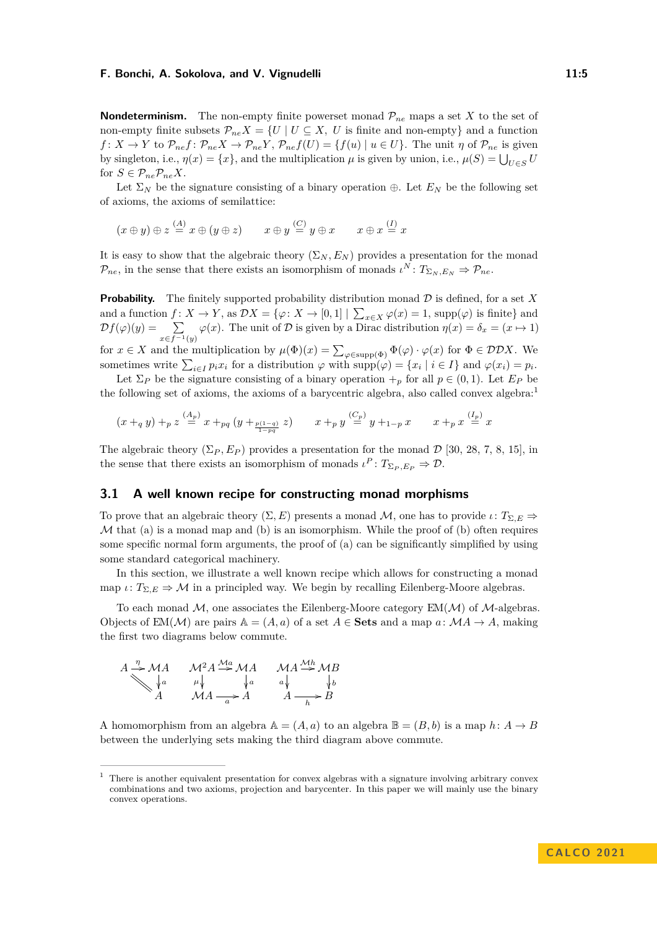**Nondeterminism.** The non-empty finite powerset monad  $\mathcal{P}_{ne}$  maps a set *X* to the set of non-empty finite subsets  $\mathcal{P}_{ne}X = \{U \mid U \subseteq X, U \text{ is finite and non-empty}\}\$ and a function  $f: X \to Y$  to  $\mathcal{P}_{ne}f: \mathcal{P}_{ne}X \to \mathcal{P}_{ne}Y$ ,  $\mathcal{P}_{ne}f(U) = \{f(u) | u \in U\}$ . The unit *η* of  $\mathcal{P}_{ne}$  is given by singleton, i.e.,  $\eta(x) = \{x\}$ , and the multiplication  $\mu$  is given by union, i.e.,  $\mu(S) = \bigcup_{U \in S} U$ for  $S \in \mathcal{P}_{ne} \mathcal{P}_{ne} X$ .

Let  $\Sigma_N$  be the signature consisting of a binary operation  $\oplus$ . Let  $E_N$  be the following set of axioms, the axioms of semilattice:

$$
(x \oplus y) \oplus z \stackrel{(A)}{=} x \oplus (y \oplus z) \qquad x \oplus y \stackrel{(C)}{=} y \oplus x \qquad x \oplus x \stackrel{(I)}{=} x
$$

It is easy to show that the algebraic theory  $(\Sigma_N, E_N)$  provides a presentation for the monad  $\mathcal{P}_{ne}$ , in the sense that there exists an isomorphism of monads  $\iota^N: T_{\Sigma_N,E_N} \Rightarrow \mathcal{P}_{ne}$ .

**Probability.** The finitely supported probability distribution monad  $D$  is defined, for a set  $X$ and a function  $f: X \to Y$ , as  $\mathcal{D}X = \{\varphi: X \to [0,1] \mid \sum_{x \in X} \varphi(x) = 1$ , supp $(\varphi)$  is finite} and  $\mathcal{D}f(\varphi)(y) = \sum$  $\sum_{x \in f^{-1}(y)} \varphi(x)$ . The unit of D is given by a Dirac distribution  $\eta(x) = \delta_x = (x \mapsto 1)$ for  $x \in X$  and the multiplication by  $\mu(\Phi)(x) = \sum_{\varphi \in \text{supp}(\Phi)} \Phi(\varphi) \cdot \varphi(x)$  for  $\Phi \in \mathcal{DD}X$ . We sometimes write  $\sum_{i \in I} p_i x_i$  for a distribution  $\varphi$  with  $\text{supp}(\varphi) = \{x_i \mid i \in I\}$  and  $\varphi(x_i) = p_i$ .

Let  $\Sigma_P$  be the signature consisting of a binary operation  $+_p$  for all  $p \in (0,1)$ . Let  $E_P$  be the following set of axioms, the axioms of a barycentric algebra, also called convex algebra:<sup>[1](#page-4-0)</sup>

$$
(x+_{q}y)+_{p}z\overset{(A_{p})}{=}x+_{pq}(y+_{\frac{p(1-q)}{1-pq}}z)\qquad x+_{p}y\overset{(C_{p})}{=}y+_{1-p}x\qquad x+_{p}x\overset{(I_{p})}{=}x
$$

The algebraic theory  $(\Sigma_P, E_P)$  provides a presentation for the monad  $\mathcal{D}$  [\[30,](#page-16-13) [28,](#page-16-14) [7,](#page-15-15) [8,](#page-15-16) [15\]](#page-15-17), in the sense that there exists an isomorphism of monads  $\iota^P: T_{\Sigma_P, E_P} \Rightarrow \mathcal{D}$ .

# <span id="page-4-1"></span>**3.1 A well known recipe for constructing monad morphisms**

To prove that an algebraic theory  $(\Sigma, E)$  presents a monad M, one has to provide  $\iota: T_{\Sigma, E} \Rightarrow$  $M$  that (a) is a monad map and (b) is an isomorphism. While the proof of (b) often requires some specific normal form arguments, the proof of (a) can be significantly simplified by using some standard categorical machinery.

In this section, we illustrate a well known recipe which allows for constructing a monad map  $\iota: T_{\Sigma,E} \Rightarrow \mathcal{M}$  in a principled way. We begin by recalling Eilenberg-Moore algebras.

To each monad  $M$ , one associates the Eilenberg-Moore category  $EM(M)$  of  $M$ -algebras. Objects of  $EM(M)$  are pairs  $A = (A, a)$  of a set  $A \in \mathbf{Sets}$  and a map  $a: MA \to A$ , making the first two diagrams below commute.

$$
A \xrightarrow{\eta} MA \qquad M^2 A \xrightarrow{Ma} MA \qquad MA \xrightarrow{MA} MB
$$
  

$$
\downarrow a \qquad \mu \qquad \downarrow a \qquad a \qquad \downarrow b
$$
  

$$
A \qquad MA \xrightarrow{a} A \qquad A \xrightarrow{A} B
$$

A homomorphism from an algebra  $\mathbb{A} = (A, a)$  to an algebra  $\mathbb{B} = (B, b)$  is a map  $h: A \rightarrow B$ between the underlying sets making the third diagram above commute.

<span id="page-4-0"></span> $1$  There is another equivalent presentation for convex algebras with a signature involving arbitrary convex combinations and two axioms, projection and barycenter. In this paper we will mainly use the binary convex operations.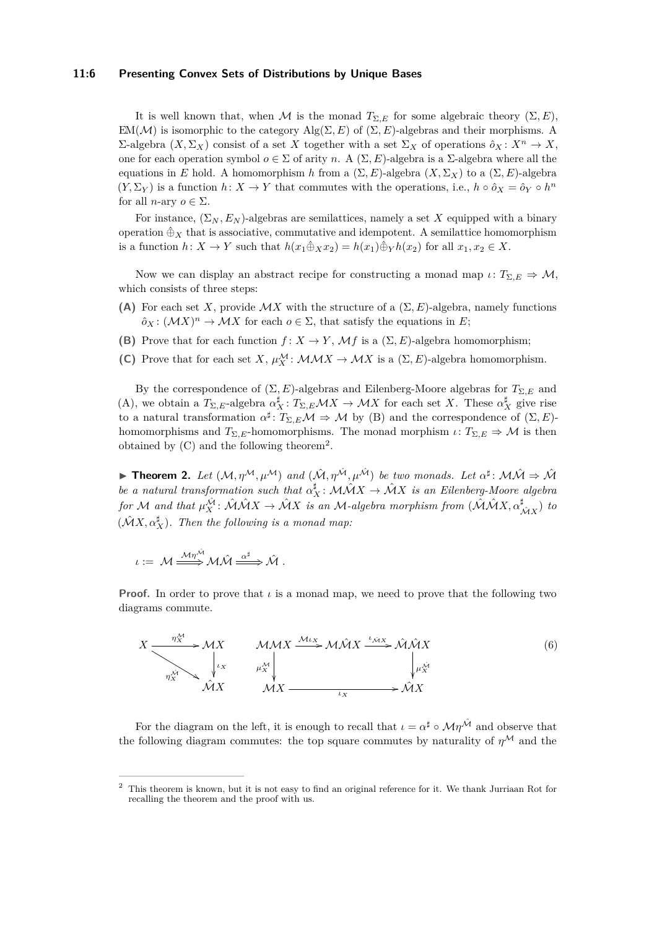#### **11:6 Presenting Convex Sets of Distributions by Unique Bases**

It is well known that, when M is the monad  $T_{\Sigma,E}$  for some algebraic theory  $(\Sigma, E)$ , EM( $\mathcal{M}$ ) is isomorphic to the category Alg( $\Sigma, E$ ) of ( $\Sigma, E$ )-algebras and their morphisms. A  $Σ$ -algebra (*X*, Σ<sub>*X*</sub>) consist of a set *X* together with a set Σ<sub>*X*</sub> of operations  $∂<sub>X</sub>$  :  $X<sup>n</sup> → X$ , one for each operation symbol  $o \in \Sigma$  of arity *n*. A  $(\Sigma, E)$ -algebra is a  $\Sigma$ -algebra where all the equations in *E* hold. A homomorphism *h* from a (Σ*, E*)-algebra (*X,* Σ*X*) to a (Σ*, E*)-algebra  $(Y, \Sigma_Y)$  is a function  $h: X \to Y$  that commutes with the operations, i.e.,  $h \circ \hat{o}_X = \hat{o}_Y \circ h^n$ for all *n*-ary  $o \in \Sigma$ .

For instance,  $(\Sigma_N, E_N)$ -algebras are semilattices, namely a set X equipped with a binary operation  $\hat{\oplus}_X$  that is associative, commutative and idempotent. A semilattice homomorphism is a function  $h: X \to Y$  such that  $h(x_1 \hat{\oplus}_X x_2) = h(x_1) \hat{\oplus}_Y h(x_2)$  for all  $x_1, x_2 \in X$ .

Now we can display an abstract recipe for constructing a monad map  $\iota: T_{\Sigma,E} \Rightarrow M$ , which consists of three steps:

- **(A)** For each set *X*, provide  $\mathcal{M}X$  with the structure of a  $(\Sigma, E)$ -algebra, namely functions  $\hat{\rho}_X: (\mathcal{M}X)^n \to \mathcal{M}X$  for each  $o \in \Sigma$ , that satisfy the equations in *E*;
- **(B)** Prove that for each function  $f: X \to Y$ ,  $\mathcal{M}f$  is a  $(\Sigma, E)$ -algebra homomorphism;
- **(C)** Prove that for each set *X*,  $\mu_X^{\mathcal{M}}$ :  $\mathcal{M} \mathcal{M} \mathcal{X} \to \mathcal{M} \mathcal{X}$  is a  $(\Sigma, E)$ -algebra homomorphism.

By the correspondence of  $(\Sigma, E)$ -algebras and Eilenberg-Moore algebras for  $T_{\Sigma, E}$  and (A), we obtain a  $T_{\Sigma,E}$ -algebra  $\alpha_X^{\sharp}$ :  $T_{\Sigma,E}$  $\mathcal{M}X \to \mathcal{M}X$  for each set *X*. These  $\alpha_X^{\sharp}$  give rise to a natural transformation  $\alpha^{\sharp}: T_{\Sigma,E} \mathcal{M} \Rightarrow \mathcal{M}$  by (B) and the correspondence of  $(\Sigma, E)$ homomorphisms and  $T_{\Sigma,E}$ -homomorphisms. The monad morphism  $\iota: T_{\Sigma,E} \Rightarrow \mathcal{M}$  is then obtained by  $(C)$  and the following theorem<sup>[2](#page-5-0)</sup>.

**Find 1.** Let  $(M, \eta^{\mathcal{M}}, \mu^{\mathcal{M}})$  and  $(\hat{\mathcal{M}}, \eta^{\hat{\mathcal{M}}}, \mu^{\hat{\mathcal{M}}})$  be two monads. Let  $\alpha^{\sharp}$ :  $\mathcal{M}\hat{\mathcal{M}} \Rightarrow \hat{\mathcal{M}}$ *be a natural transformation such that*  $\alpha_X^{\sharp}$ :  $\mathcal{M}\mathcal{N}$   $\mathcal{N}$   $\mathcal{N}$  *is an Eilenberg-Moore algebra*  $f$ or M and that  $\mu_X^{\hat{M}}$ :  $\hat{\mathcal{M}}\hat{\mathcal{M}}X \to \hat{\mathcal{M}}X$  is an M-algebra morphism from  $(\hat{\mathcal{M}}\hat{\mathcal{M}}X, \alpha_{\hat{\mathcal{M}}X}^{\sharp})$  to  $(\hat{\mathcal{M}}X, \alpha_X^{\sharp})$ . Then the following is a monad map:

$$
\iota := M \stackrel{\mathcal{M}\eta^{\hat{\mathcal{M}}}}{\Longrightarrow} \mathcal{M}\hat{\mathcal{M}} \stackrel{\alpha^{\sharp}}{\Longrightarrow} \hat{\mathcal{M}}.
$$

**Proof.** In order to prove that  $\iota$  is a monad map, we need to prove that the following two diagrams commute.

<span id="page-5-1"></span>
$$
X \xrightarrow{\eta_X^{\mathcal{M}}} \mathcal{M}X \xrightarrow{\mu_X^{\mathcal{M}}} \mu_X^{\mathcal{M}} \downarrow \qquad \mu_X^{\mathcal{M}}
$$
\n
$$
\eta_X^{\mathcal{M}} \xrightarrow{\mu_X^{\mathcal{M}}} \mu_X^{\mathcal{M}}
$$
\n
$$
\mathcal{M}X \xrightarrow{\mu_X^{\mathcal{M}}} \mathcal{M}X \xrightarrow{\iota_X^{\mathcal{M}}} \mathcal{M}X
$$
\n
$$
(6)
$$

For the diagram on the left, it is enough to recall that  $\iota = \alpha^{\sharp} \circ \mathcal{M}\eta^{\hat{\mathcal{M}}}$  and observe that the following diagram commutes: the top square commutes by naturality of  $\eta^{\mathcal{M}}$  and the

<span id="page-5-0"></span><sup>2</sup> This theorem is known, but it is not easy to find an original reference for it. We thank Jurriaan Rot for recalling the theorem and the proof with us.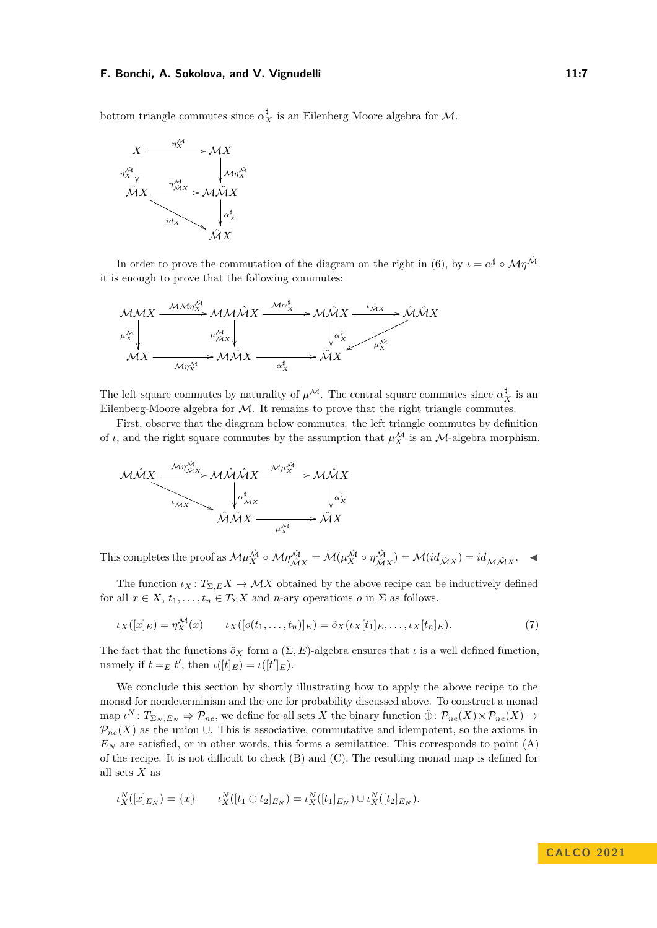bottom triangle commutes since  $\alpha_X^{\sharp}$  is an Eilenberg Moore algebra for  $\mathcal{M}$ .



In order to prove the commutation of the diagram on the right in [\(6\)](#page-5-1), by  $\iota = \alpha^{\sharp} \circ \mathcal{M}\eta^{\hat{\mathcal{M}}}$ it is enough to prove that the following commutes:

$$
\mathcal{M}\mathcal{M}X \xrightarrow{\mathcal{M}\mathcal{M}\eta_X^{\mathcal{M}}} \mathcal{M}\mathcal{M}\mathcal{M}X \xrightarrow{\mathcal{M}\alpha_X^{\sharp}} \mathcal{M}\mathcal{M}X \xrightarrow{\iota_{\mathcal{N}X}} \mathcal{M}\mathcal{M}X
$$
  

$$
\downarrow_{\mathcal{N}X}^{\mathcal{M}} \qquad \qquad \downarrow_{\mathcal{N}X}^{\mathcal{M}} \qquad \qquad \downarrow_{\mathcal{N}X}^{\mathcal{M}} \qquad \qquad \downarrow_{\mathcal{N}X}^{\mathcal{M}} \qquad \qquad \downarrow_{\mathcal{N}X}^{\mathcal{M}} \qquad \qquad \downarrow_{\mathcal{N}X}^{\mathcal{M}} \qquad \qquad \downarrow_{\mathcal{N}X}^{\mathcal{M}} \qquad \qquad \downarrow_{\mathcal{N}X}^{\mathcal{M}} \qquad \qquad \downarrow_{\mathcal{N}X}^{\mathcal{M}}
$$

The left square commutes by naturality of  $\mu^M$ . The central square commutes since  $\alpha_X^{\sharp}$  is an Eilenberg-Moore algebra for  $M$ . It remains to prove that the right triangle commutes.

First, observe that the diagram below commutes: the left triangle commutes by definition of *ι*, and the right square commutes by the assumption that  $\mu_X^{\hat{M}}$  is an *M*-algebra morphism.



This completes the proof as  $\mathcal{M}\mu_X^{\hat{\mathcal{M}}} \circ \mathcal{M}\eta_{\hat{\mathcal{M}}X}^{\hat{\mathcal{M}}} = \mathcal{M}(\mu_X^{\hat{\mathcal{M}}} \circ \eta_{\hat{\mathcal{M}}X}^{\hat{\mathcal{M}}}) = \mathcal{M}(id_{\hat{\mathcal{M}}X}) = id_{\mathcal{M}\hat{\mathcal{M}}X}$ .

The function  $\iota_X : T_{\Sigma,E} X \to \mathcal{M} X$  obtained by the above recipe can be inductively defined for all  $x \in X$ ,  $t_1, \ldots, t_n \in T_\Sigma X$  and *n*-ary operations *o* in  $\Sigma$  as follows.

$$
\iota_X([x]_E) = \eta_X^{\mathcal{M}}(x) \qquad \iota_X([o(t_1,\ldots,t_n)]_E) = \hat{o}_X(\iota_X[t_1]_E,\ldots,\iota_X[t_n]_E). \tag{7}
$$

The fact that the functions  $\hat{o}_X$  form a  $(\Sigma, E)$ -algebra ensures that  $\iota$  is a well defined function, namely if  $t =_E t'$ , then  $\iota([t]_E) = \iota([t']_E)$ .

We conclude this section by shortly illustrating how to apply the above recipe to the monad for nondeterminism and the one for probability discussed above. To construct a monad  $\text{map } \iota^N : T_{\Sigma_N,E_N} \Rightarrow \mathcal{P}_{ne}, \text{ we define for all sets } X \text{ the binary function } \hat{\oplus} : \mathcal{P}_{ne}(X) \times \mathcal{P}_{ne}(X) \rightarrow$  $\mathcal{P}_{ne}(X)$  as the union ∪. This is associative, commutative and idempotent, so the axioms in  $E_N$  are satisfied, or in other words, this forms a semilattice. This corresponds to point  $(A)$ of the recipe. It is not difficult to check (B) and (C). The resulting monad map is defined for all sets *X* as

$$
\iota_X^N([x]_{E_N}) = \{x\} \qquad \iota_X^N([t_1 \oplus t_2]_{E_N}) = \iota_X^N([t_1]_{E_N}) \cup \iota_X^N([t_2]_{E_N}).
$$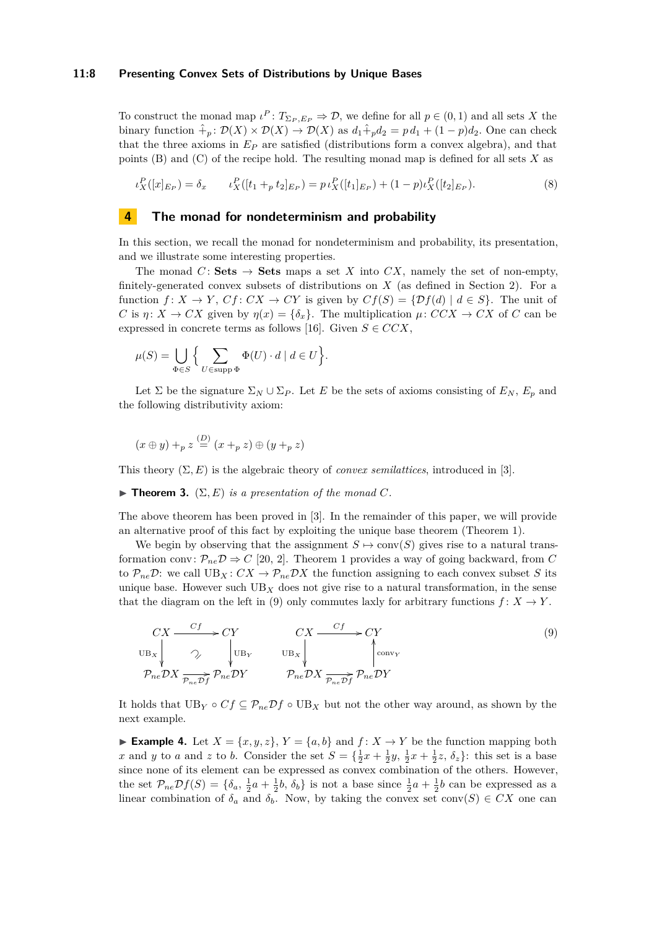#### **11:8 Presenting Convex Sets of Distributions by Unique Bases**

To construct the monad map  $\iota^P: T_{\Sigma_P, E_P} \Rightarrow \mathcal{D}$ , we define for all  $p \in (0, 1)$  and all sets *X* the binary function  $\hat{+}_p : \mathcal{D}(X) \times \mathcal{D}(X) \to \mathcal{D}(X)$  as  $d_1 \hat{+}_p d_2 = p d_1 + (1 - p) d_2$ . One can check that the three axioms in  $E_P$  are satisfied (distributions form a convex algebra), and that points (B) and (C) of the recipe hold. The resulting monad map is defined for all sets *X* as

$$
\iota_X^P([x]_{E_P}) = \delta_x \qquad \iota_X^P([t_1 +_p t_2]_{E_P}) = p \iota_X^P([t_1]_{E_P}) + (1 - p)\iota_X^P([t_2]_{E_P}). \tag{8}
$$

# <span id="page-7-0"></span>**4 The monad for nondeterminism and probability**

In this section, we recall the monad for nondeterminism and probability, its presentation, and we illustrate some interesting properties.

The monad *C*: **Sets**  $\rightarrow$  **Sets** maps a set *X* into *CX*, namely the set of non-empty, finitely-generated convex subsets of distributions on *X* (as defined in Section [2\)](#page-1-0). For a function  $f: X \to Y$ ,  $Cf: CX \to CY$  is given by  $Cf(S) = \{ \mathcal{D}f(d) | d \in S \}$ . The unit of *C* is *η*:  $X \to CX$  given by  $\eta(x) = {\delta_x}$ . The multiplication  $\mu$ :  $CCX \to CX$  of *C* can be expressed in concrete terms as follows [\[16\]](#page-15-11). Given  $S \in CCX$ ,

$$
\mu(S) = \bigcup_{\Phi \in S} \left\{ \sum_{U \in \text{supp } \Phi} \Phi(U) \cdot d \mid d \in U \right\}
$$

Let  $\Sigma$  be the signature  $\Sigma_N \cup \Sigma_P$ . Let *E* be the sets of axioms consisting of  $E_N$ ,  $E_p$  and the following distributivity axiom:

<span id="page-7-2"></span><span id="page-7-1"></span>*.*

$$
(x \oplus y) +_{p} z \stackrel{(D)}{=} (x +_{p} z) \oplus (y +_{p} z)
$$

This theory  $(\Sigma, E)$  is the algebraic theory of *convex semilattices*, introduced in [\[3\]](#page-15-14).

<span id="page-7-3"></span> $\blacktriangleright$  **Theorem 3.** ( $\Sigma, E$ ) *is a presentation of the monad C.* 

The above theorem has been proved in [\[3\]](#page-15-14). In the remainder of this paper, we will provide an alternative proof of this fact by exploiting the unique base theorem (Theorem [1\)](#page-1-2).

We begin by observing that the assignment  $S \mapsto \text{conv}(S)$  gives rise to a natural transformation conv:  $\mathcal{P}_{ne}\mathcal{D} \Rightarrow C$  [\[20,](#page-15-10) [2\]](#page-15-18). Theorem [1](#page-1-2) provides a way of going backward, from *C* to  $\mathcal{P}_{ne}\mathcal{D}$ : we call  $UB_X: CX \to \mathcal{P}_{ne}\mathcal{D}X$  the function assigning to each convex subset *S* its unique base. However such  $UB<sub>X</sub>$  does not give rise to a natural transformation, in the sense that the diagram on the left in [\(9\)](#page-7-1) only commutes laxly for arbitrary functions  $f: X \to Y$ .

$$
CX \xrightarrow{Cf} CY
$$
\n
$$
U_{\text{B}_X} \downarrow \gamma
$$
\n
$$
V_{\text{B}_Y} \downarrow \text{U}_{\text{B}_Y} \qquad U_{\text{B}_X} \downarrow \qquad \text{U}_{\text{B}_X} \downarrow \qquad \text{Cov}_{\text{V}} \qquad (9)
$$
\n
$$
P_{ne} DX \xrightarrow{P_{ne} DF} P_{ne} DY
$$

It holds that  $UB_Y \circ Cf \subseteq \mathcal{P}_{ne}\mathcal{D}f \circ UB_X$  but not the other way around, as shown by the next example.

▶ **Example 4.** Let  $X = \{x, y, z\}$ ,  $Y = \{a, b\}$  and  $f: X \rightarrow Y$  be the function mapping both *x* and *y* to *a* and *z* to *b*. Consider the set  $S = \{\frac{1}{2}x + \frac{1}{2}y, \frac{1}{2}x + \frac{1}{2}z, \delta_z\}$ : this set is a base since none of its element can be expressed as convex combination of the others. However, the set  $\mathcal{P}_{ne}\mathcal{D}f(S) = \{\delta_a, \frac{1}{2}a + \frac{1}{2}b, \delta_b\}$  is not a base since  $\frac{1}{2}a + \frac{1}{2}b$  can be expressed as a linear combination of  $\delta_a$  and  $\delta_b$ . Now, by taking the convex set conv $(S) \in CX$  one can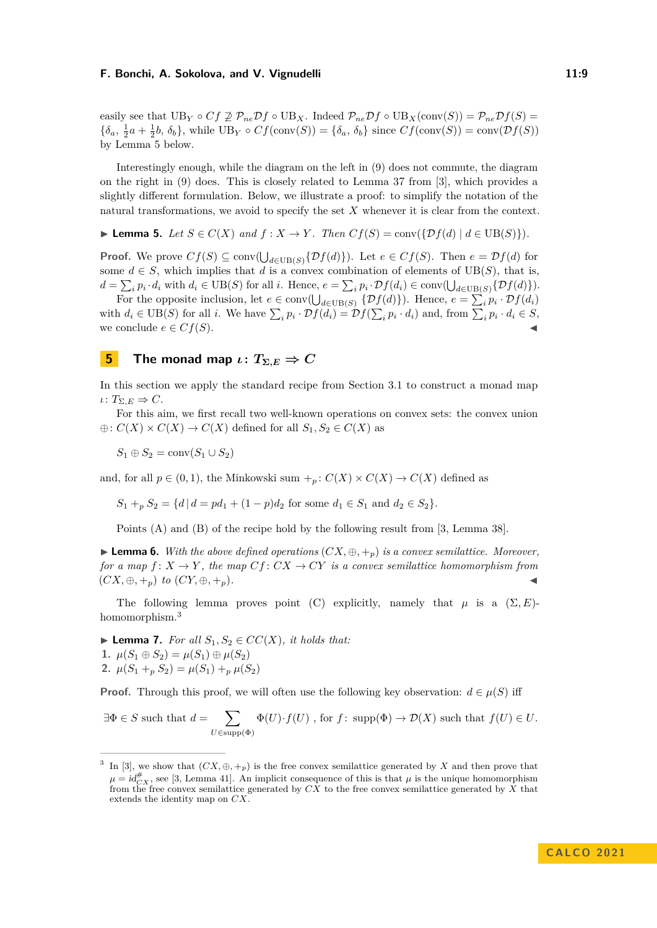easily see that  $UB_Y \circ Cf \not\supseteq \mathcal{P}_{ne} \mathcal{D}f \circ UB_X$ . Indeed  $\mathcal{P}_{ne} \mathcal{D}f \circ UB_X(\text{conv}(S)) = \mathcal{P}_{ne} \mathcal{D}f(S) =$  ${\delta_a, \frac{1}{2}a + \frac{1}{2}b, \delta_b}$ , while  $UB_Y \circ Cf(\text{conv}(S)) = {\delta_a, \delta_b}$  since  $Cf(\text{conv}(S)) = \text{conv}(\mathcal{D}f(S))$ by Lemma [5](#page-8-1) below.

Interestingly enough, while the diagram on the left in [\(9\)](#page-7-1) does not commute, the diagram on the right in [\(9\)](#page-7-1) does. This is closely related to Lemma 37 from [\[3\]](#page-15-14), which provides a slightly different formulation. Below, we illustrate a proof: to simplify the notation of the natural transformations, we avoid to specify the set *X* whenever it is clear from the context.

<span id="page-8-1"></span>▶ **Lemma 5.** *Let*  $S \in C(X)$  *and*  $f : X \rightarrow Y$ *. Then*  $Cf(S) = \text{conv}(\{\mathcal{D}f(d) \mid d \in \text{UB}(S)\})$ *.* 

**Proof.** We prove  $Cf(S) \subseteq \text{conv}(\bigcup_{d \in \text{UB}(S)} \{Df(d)\})$ . Let  $e \in Cf(S)$ . Then  $e = Df(d)$  for some  $d \in S$ , which implies that *d* is a convex combination of elements of UB(*S*), that is,  $d = \sum_i p_i \cdot d_i$  with  $d_i \in \text{UB}(S)$  for all i. Hence,  $e = \sum_i p_i \cdot \mathcal{D}f(d_i) \in \text{conv}(\bigcup_{d \in \text{UB}(S)} \{ \mathcal{D}f(d) \}).$ 

For the opposite inclusion, let  $e \in \text{conv}(\bigcup_{d \in \text{UB}(S)} \{ \mathcal{D}f(d) \})$ . Hence,  $e = \sum_i p_i \cdot \mathcal{D}f(d_i)$ with  $d_i \in \text{UB}(S)$  for all i. We have  $\sum_i p_i \cdot \mathcal{D}f(d_i) = \mathcal{D}f(\sum_i p_i \cdot d_i)$  and, from  $\sum_i p_i \cdot d_i \in S$ , we conclude  $e \in Cf(S)$ .

# <span id="page-8-0"></span>**5 The monad map**  $\iota: T_{\Sigma,E} \Rightarrow C$

In this section we apply the standard recipe from Section [3.1](#page-4-1) to construct a monad map  $\iota: T_{\Sigma,E} \Rightarrow C.$ 

For this aim, we first recall two well-known operations on convex sets: the convex union  $\oplus$ :  $C(X) \times C(X) \rightarrow C(X)$  defined for all  $S_1, S_2 \in C(X)$  as

*S*<sup>1</sup> ⊕ *S*<sub>2</sub> = conv $(S_1 ∪ S_2)$ 

and, for all  $p \in (0,1)$ , the Minkowski sum  $+_p$ :  $C(X) \times C(X) \to C(X)$  defined as

 $S_1 +_p S_2 = \{d \mid d = pd_1 + (1 - p)d_2 \text{ for some } d_1 \in S_1 \text{ and } d_2 \in S_2\}.$ 

Points (A) and (B) of the recipe hold by the following result from [\[3,](#page-15-14) Lemma 38].

<span id="page-8-3"></span>▶ **Lemma 6.** *With the above defined operations* (*CX,* ⊕*,* +*p*) *is a convex semilattice. Moreover, for a map*  $f: X \to Y$ , the map  $Cf: CX \to CY$  is a convex semilattice homomorphism from  $(CX, \oplus, +_p)$  *to*  $(CY, \oplus, +_p)$ *.* 

The following lemma proves point (C) explicitly, namely that  $\mu$  is a  $(\Sigma, E)$ -homomorphism.<sup>[3](#page-8-2)</sup>

<span id="page-8-4"></span>▶ **Lemma 7.** *For all*  $S_1, S_2$  ∈  $CC(X)$ *, it holds that:* **1.**  $\mu(S_1 \oplus S_2) = \mu(S_1) \oplus \mu(S_2)$ **2.**  $\mu(S_1 + B_2) = \mu(S_1) + \mu(S_2)$ 

**Proof.** Through this proof, we will often use the following key observation:  $d \in \mu(S)$  iff

$$
\exists \Phi \in S \text{ such that } d = \sum_{U \in \text{supp}(\Phi)} \Phi(U) \cdot f(U) , \text{ for } f: \text{ supp}(\Phi) \to \mathcal{D}(X) \text{ such that } f(U) \in U.
$$

<span id="page-8-2"></span><sup>3</sup> In [\[3\]](#page-15-14), we show that  $(CX, \oplus, +_p)$  is the free convex semilattice generated by X and then prove that  $\mu = id_{CX}^{\#}$ , see [\[3,](#page-15-14) Lemma 41]. An implicit consequence of this is that  $\mu$  is the unique homomorphism from the free convex semilattice generated by  $\overline{CX}$  to the free convex semilattice generated by  $\overline{X}$  that extends the identity map on *CX*.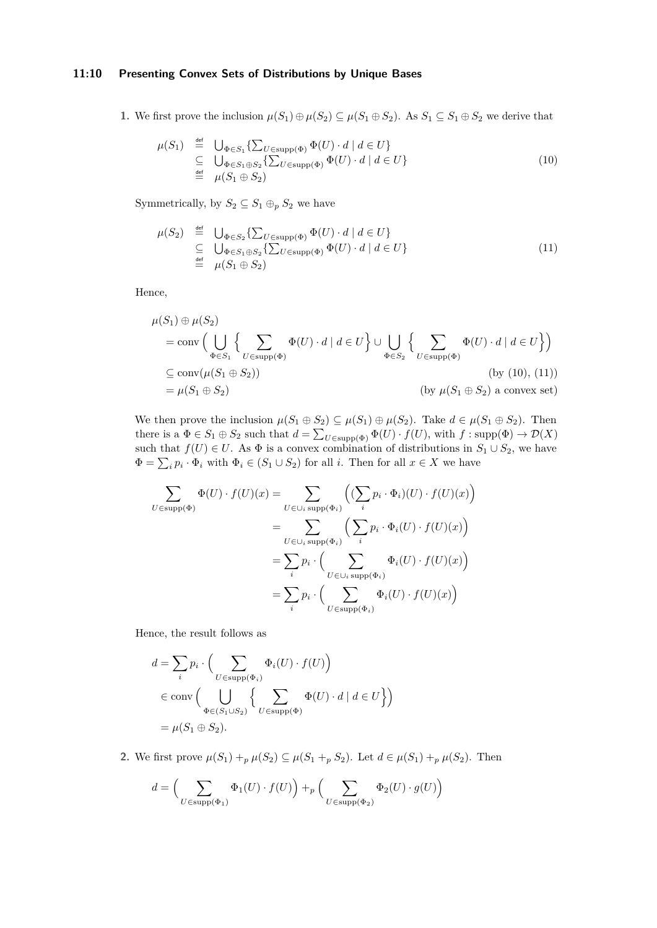# **11:10 Presenting Convex Sets of Distributions by Unique Bases**

**1.** We first prove the inclusion  $\mu(S_1) \oplus \mu(S_2) \subseteq \mu(S_1 \oplus S_2)$ . As  $S_1 \subseteq S_1 \oplus S_2$  we derive that

<span id="page-9-0"></span>
$$
\mu(S_1) \stackrel{\text{def}}{=} \bigcup_{\substack{\Phi \in S_1}} \{\sum_{U \in \text{supp}(\Phi)} \Phi(U) \cdot d \mid d \in U\}
$$
\n
$$
\stackrel{\text{def}}{=} \bigcup_{\substack{\Phi \in S_1 \oplus S_2}} \{\sum_{U \in \text{supp}(\Phi)} \Phi(U) \cdot d \mid d \in U\}
$$
\n
$$
\stackrel{\text{def}}{=} \mu(S_1 \oplus S_2) \tag{10}
$$

Symmetrically, by  $S_2 \subseteq S_1 \oplus_p S_2$  we have

<span id="page-9-1"></span>
$$
\mu(S_2) \stackrel{\text{def}}{=} \bigcup_{\substack{\Phi \in S_2}} \{\sum_{U \in \text{supp}(\Phi)} \Phi(U) \cdot d \mid d \in U\}
$$
\n
$$
\stackrel{\text{def}}{=} \bigcup_{\substack{\Phi \in S_1 \oplus S_2}} \{\sum_{U \in \text{supp}(\Phi)} \Phi(U) \cdot d \mid d \in U\}
$$
\n
$$
\stackrel{\text{def}}{=} \mu(S_1 \oplus S_2) \tag{11}
$$

Hence,

$$
\mu(S_1) \oplus \mu(S_2)
$$
\n
$$
= \text{conv}\Big(\bigcup_{\Phi \in S_1} \left\{ \sum_{U \in \text{supp}(\Phi)} \Phi(U) \cdot d \mid d \in U \right\} \cup \bigcup_{\Phi \in S_2} \left\{ \sum_{U \in \text{supp}(\Phi)} \Phi(U) \cdot d \mid d \in U \right\} \Big)
$$
\n
$$
\subseteq \text{conv}(\mu(S_1 \oplus S_2))
$$
\n
$$
= \mu(S_1 \oplus S_2)
$$
\n
$$
\text{(by } \mu(S_1 \oplus S_2) \text{ a convex set})
$$

We then prove the inclusion  $\mu(S_1 \oplus S_2) \subseteq \mu(S_1) \oplus \mu(S_2)$ . Take  $d \in \mu(S_1 \oplus S_2)$ . Then there is a  $\Phi \in S_1 \oplus S_2$  such that  $d = \sum_{U \in \text{supp}(\Phi)} \Phi(U) \cdot f(U)$ , with  $f : \text{supp}(\Phi) \to \mathcal{D}(X)$ such that  $f(U) \in U$ . As  $\Phi$  is a convex combination of distributions in  $S_1 \cup S_2$ , we have  $\Phi = \sum_i p_i \cdot \Phi_i$  with  $\Phi_i \in (S_1 \cup S_2)$  for all *i*. Then for all  $x \in X$  we have

$$
\sum_{U \in \text{supp}(\Phi)} \Phi(U) \cdot f(U)(x) = \sum_{U \in \bigcup_i \text{supp}(\Phi_i)} \left( (\sum_i p_i \cdot \Phi_i)(U) \cdot f(U)(x) \right)
$$

$$
= \sum_{U \in \bigcup_i \text{supp}(\Phi_i)} \left( \sum_i p_i \cdot \Phi_i(U) \cdot f(U)(x) \right)
$$

$$
= \sum_i p_i \cdot \left( \sum_{U \in \bigcup_i \text{supp}(\Phi_i)} \Phi_i(U) \cdot f(U)(x) \right)
$$

$$
= \sum_i p_i \cdot \left( \sum_{U \in \text{supp}(\Phi_i)} \Phi_i(U) \cdot f(U)(x) \right)
$$

Hence, the result follows as

$$
d = \sum_{i} p_i \cdot \left( \sum_{U \in \text{supp}(\Phi_i)} \Phi_i(U) \cdot f(U) \right)
$$
  

$$
\in \text{conv} \left( \bigcup_{\Phi \in (S_1 \cup S_2)} \left\{ \sum_{U \in \text{supp}(\Phi)} \Phi(U) \cdot d \mid d \in U \right\} \right)
$$
  

$$
= \mu(S_1 \oplus S_2).
$$

**2.** We first prove  $\mu(S_1) +_{p} \mu(S_2) \subseteq \mu(S_1 +_{p} S_2)$ . Let  $d \in \mu(S_1) +_{p} \mu(S_2)$ . Then

$$
d = \left(\sum_{U \in \text{supp}(\Phi_1)} \Phi_1(U) \cdot f(U)\right) +_p \left(\sum_{U \in \text{supp}(\Phi_2)} \Phi_2(U) \cdot g(U)\right)
$$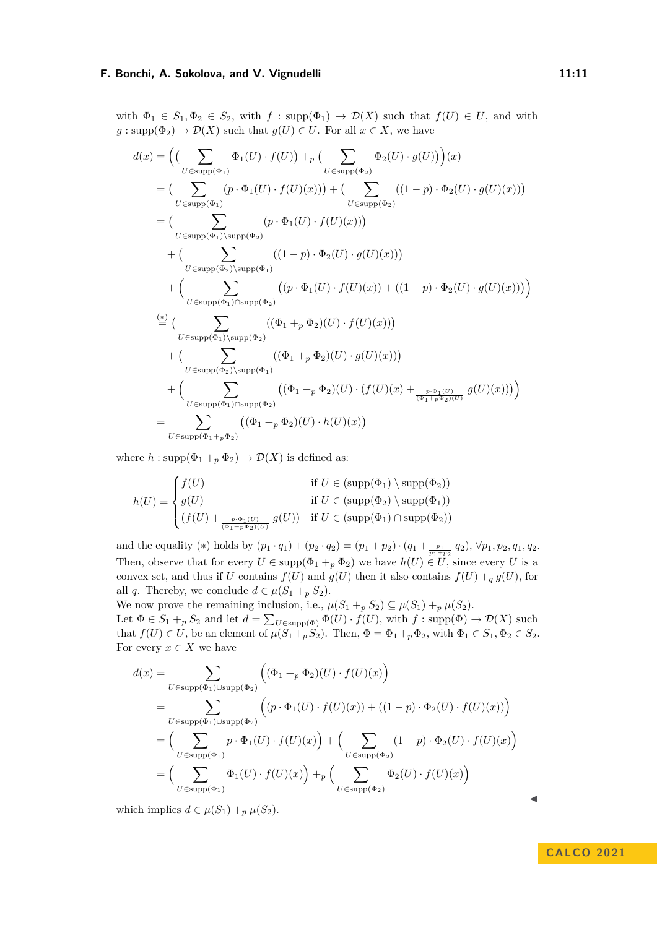with  $\Phi_1 \in S_1, \Phi_2 \in S_2$ , with  $f : supp(\Phi_1) \to \mathcal{D}(X)$  such that  $f(U) \in U$ , and with  $g: \text{supp}(\Phi_2) \to \mathcal{D}(X)$  such that  $g(U) \in U$ . For all  $x \in X$ , we have

$$
d(x) = \left( \left( \sum_{U \in \text{supp}(\Phi_1)} \Phi_1(U) \cdot f(U) \right) +_p \left( \sum_{U \in \text{supp}(\Phi_2)} \Phi_2(U) \cdot g(U) \right) \right)(x)
$$
  
\n
$$
= \left( \sum_{U \in \text{supp}(\Phi_1)} (p \cdot \Phi_1(U) \cdot f(U)(x)) \right) + \left( \sum_{U \in \text{supp}(\Phi_2)} ((1 - p) \cdot \Phi_2(U) \cdot g(U)(x)) \right)
$$
  
\n
$$
= \left( \sum_{U \in \text{supp}(\Phi_1) \setminus \text{supp}(\Phi_2)} (p \cdot \Phi_1(U) \cdot f(U)(x)) \right)
$$
  
\n
$$
+ \left( \sum_{U \in \text{supp}(\Phi_1) \setminus \text{supp}(\Phi_1)} ((1 - p) \cdot \Phi_2(U) \cdot g(U)(x)) \right)
$$
  
\n
$$
+ \left( \sum_{U \in \text{supp}(\Phi_1) \cap \text{supp}(\Phi_2)} ((p \cdot \Phi_1(U) \cdot f(U)(x)) + ((1 - p) \cdot \Phi_2(U) \cdot g(U)(x))) \right)
$$
  
\n
$$
\stackrel{\text{(*)}}{=} \left( \sum_{U \in \text{supp}(\Phi_1) \setminus \text{supp}(\Phi_2)} ((\Phi_1 +_p \Phi_2)(U) \cdot f(U)(x)) \right)
$$
  
\n
$$
+ \left( \sum_{U \in \text{supp}(\Phi_2) \setminus \text{supp}(\Phi_1)} ((\Phi_1 +_p \Phi_2)(U) \cdot g(U)(x)) \right)
$$
  
\n
$$
+ \left( \sum_{U \in \text{supp}(\Phi_1) \cap \text{supp}(\Phi_2)} ((\Phi_1 +_p \Phi_2)(U) \cdot (f(U)(x) + \frac{p \cdot \Phi_1(U)}{(\Phi_1 +_p \Phi_2)(U)} g(U)(x)) \right)
$$
  
\n
$$
= \sum_{U \in \text{supp}(\Phi_1 +_p \Phi_2)} ((\Phi_1 +_p \Phi_2)(U) \cdot h(U)(x))
$$

where  $h: \text{supp}(\Phi_1 +_p \Phi_2) \to \mathcal{D}(X)$  is defined as:

$$
h(U) = \begin{cases} f(U) & \text{if } U \in (\text{supp}(\Phi_1) \setminus \text{supp}(\Phi_2)) \\ g(U) & \text{if } U \in (\text{supp}(\Phi_2) \setminus \text{supp}(\Phi_1)) \\ (f(U) + \frac{p \cdot \Phi_1(U)}{(\Phi_1 + p \Phi_2)(U)}) & \text{if } U \in (\text{supp}(\Phi_1) \cap \text{supp}(\Phi_2)) \end{cases}
$$

and the equality (\*) holds by  $(p_1 \cdot q_1) + (p_2 \cdot q_2) = (p_1 + p_2) \cdot (q_1 + \frac{p_1}{p_1 + p_2} q_2), \forall p_1, p_2, q_1, q_2$ . Then, observe that for every  $U \in \text{supp}(\Phi_1 +_p \Phi_2)$  we have  $h(U) \in U$ , since every *U* is a convex set, and thus if *U* contains  $f(U)$  and  $g(U)$  then it also contains  $f(U) +_q g(U)$ , for all *q*. Thereby, we conclude  $d \in \mu(S_1 +_p S_2)$ .

We now prove the remaining inclusion, i.e.,  $\mu(S_1 +_p S_2) \subseteq \mu(S_1) +_p \mu(S_2)$ . Let  $\Phi \in S_1 +_p S_2$  and let  $d = \sum_{U \in \text{supp}(\Phi)} \Phi(U) \cdot f(U)$ , with  $f : \text{supp}(\Phi) \to \mathcal{D}(X)$  such that  $f(U) \in U$ , be an element of  $\mu(S_1 +_p S_2)$ . Then,  $\Phi = \Phi_1 +_p \Phi_2$ , with  $\Phi_1 \in S_1, \Phi_2 \in S_2$ . For every  $x \in X$  we have

$$
d(x) = \sum_{U \in \text{supp}(\Phi_1) \cup \text{supp}(\Phi_2)} \left( (\Phi_1 +_p \Phi_2)(U) \cdot f(U)(x) \right)
$$
  
\n
$$
= \sum_{U \in \text{supp}(\Phi_1) \cup \text{supp}(\Phi_2)} \left( (p \cdot \Phi_1(U) \cdot f(U)(x)) + ((1 - p) \cdot \Phi_2(U) \cdot f(U)(x)) \right)
$$
  
\n
$$
= \left( \sum_{U \in \text{supp}(\Phi_1)} p \cdot \Phi_1(U) \cdot f(U)(x) \right) + \left( \sum_{U \in \text{supp}(\Phi_2)} (1 - p) \cdot \Phi_2(U) \cdot f(U)(x) \right)
$$
  
\n
$$
= \left( \sum_{U \in \text{supp}(\Phi_1)} \Phi_1(U) \cdot f(U)(x) \right) +_p \left( \sum_{U \in \text{supp}(\Phi_2)} \Phi_2(U) \cdot f(U)(x) \right)
$$

which implies  $d \in \mu(S_1) + p \mu(S_2)$ .

**C A L CO 2 0 2 1**

◀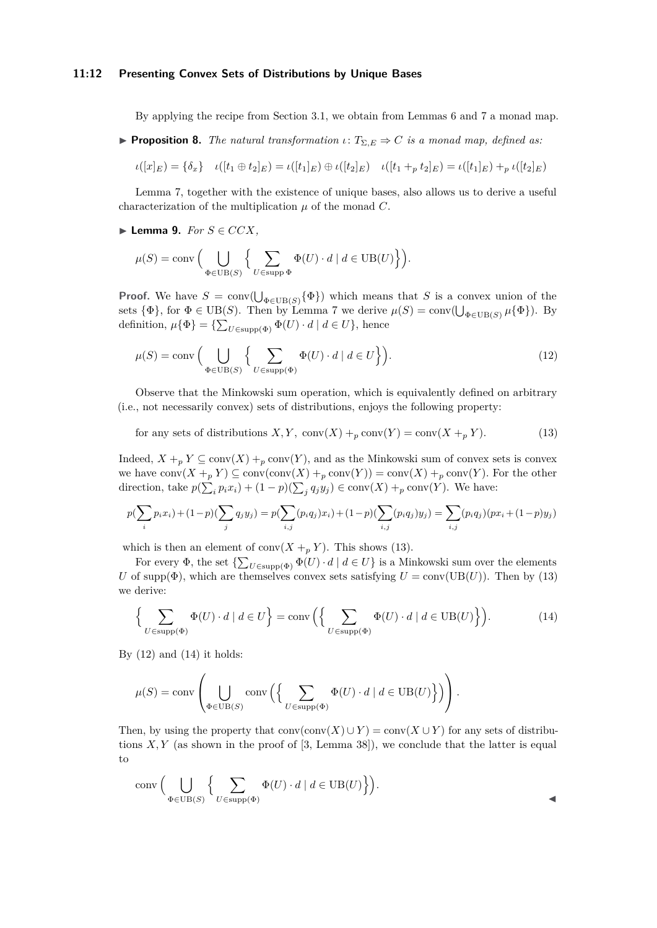#### **11:12 Presenting Convex Sets of Distributions by Unique Bases**

By applying the recipe from Section [3.1,](#page-4-1) we obtain from Lemmas [6](#page-8-3) and [7](#page-8-4) a monad map.

<span id="page-11-3"></span>**• Proposition 8.** *The natural transformation*  $\iota: T_{\Sigma,E} \Rightarrow C$  *is a monad map, defined as:* 

$$
\iota([x]_E) = \{\delta_x\} \quad \iota([t_1 \oplus t_2]_E) = \iota([t_1]_E) \oplus \iota([t_2]_E) \quad \iota([t_1 +_p t_2]_E) = \iota([t_1]_E) +_p \iota([t_2]_E)
$$

Lemma [7,](#page-8-4) together with the existence of unique bases, also allows us to derive a useful characterization of the multiplication  $\mu$  of the monad  $C$ .

▶ **Lemma 9.**  $For S ∈ CCX$ *,* 

$$
\mu(S) = \text{conv}\left(\bigcup_{\Phi \in \text{UB}(S)} \left\{ \sum_{U \in \text{supp }\Phi} \Phi(U) \cdot d \mid d \in \text{UB}(U) \right\} \right).
$$

**Proof.** We have  $S = \text{conv}(\bigcup_{\Phi \in \text{UB}(S)} {\Phi})$  which means that S is a convex union of the sets  $\{\Phi\}$ , for  $\Phi \in \text{UB}(S)$ . Then by Lemma [7](#page-8-4) we derive  $\mu(S) = \text{conv}(\bigcup_{\Phi \in \text{UB}(S)} \mu\{\Phi\})$ . By definition,  $\mu\{\Phi\} = \{\sum_{U \in \text{supp}(\Phi)} \Phi(U) \cdot d \mid d \in U\}$ , hence

<span id="page-11-1"></span>
$$
\mu(S) = \text{conv}\left(\bigcup_{\Phi \in \text{UB}(S)} \left\{ \sum_{U \in \text{supp}(\Phi)} \Phi(U) \cdot d \mid d \in U \right\} \right). \tag{12}
$$

Observe that the Minkowski sum operation, which is equivalently defined on arbitrary (i.e., not necessarily convex) sets of distributions, enjoys the following property:

<span id="page-11-0"></span>for any sets of distributions  $X, Y$ ,  $conv(X) + p \text{ conv}(Y) = conv(X + pY)$ . (13)

Indeed,  $X +_p Y \subseteq \text{conv}(X) +_p \text{conv}(Y)$ , and as the Minkowski sum of convex sets is convex we have  $conv(X +_p Y) \subseteq conv(conv(X) +_p conv(Y)) = conv(X) +_p conv(Y)$ . For the other direction, take  $p(\sum_{i} p_i x_i) + (1 - p)(\sum_{j} q_j y_j) \in \text{conv}(X) + p \text{ conv}(Y)$ . We have:

$$
p(\sum_{i} p_i x_i) + (1-p)(\sum_{j} q_j y_j) = p(\sum_{i,j} (p_i q_j) x_i) + (1-p)(\sum_{i,j} (p_i q_j) y_j) = \sum_{i,j} (p_i q_j) (px_i + (1-p)y_j)
$$

which is then an element of conv $(X +_p Y)$ . This shows [\(13\)](#page-11-0).

For every  $\Phi$ , the set  $\{\sum_{U \in \text{supp}(\Phi)} \Phi(U) \cdot d \mid d \in U\}$  is a Minkowski sum over the elements *U* of supp( $\Phi$ ), which are themselves convex sets satisfying  $U = \text{conv}(\text{UB}(U))$ . Then by [\(13\)](#page-11-0) we derive:

<span id="page-11-2"></span>
$$
\left\{\sum_{U \in \text{supp}(\Phi)} \Phi(U) \cdot d \mid d \in U\right\} = \text{conv}\left(\left\{\sum_{U \in \text{supp}(\Phi)} \Phi(U) \cdot d \mid d \in \text{UB}(U)\right\}\right). \tag{14}
$$

By  $(12)$  and  $(14)$  it holds:

$$
\mu(S) = \text{conv}\left(\bigcup_{\Phi \in \text{UB}(S)} \text{conv}\left(\left\{\sum_{U \in \text{supp}(\Phi)} \Phi(U) \cdot d \mid d \in \text{UB}(U)\right\}\right)\right).
$$

Then, by using the property that  $conv(conv(X) \cup Y) = conv(X \cup Y)$  for any sets of distributions  $X, Y$  (as shown in the proof of  $[3, \text{Lemma } 38]$  $[3, \text{Lemma } 38]$ ), we conclude that the latter is equal to

$$
conv\Big(\bigcup_{\Phi \in \text{UB}(S)} \Big\{ \sum_{U \in \text{supp}(\Phi)} \Phi(U) \cdot d \mid d \in \text{UB}(U) \Big\} \Big).
$$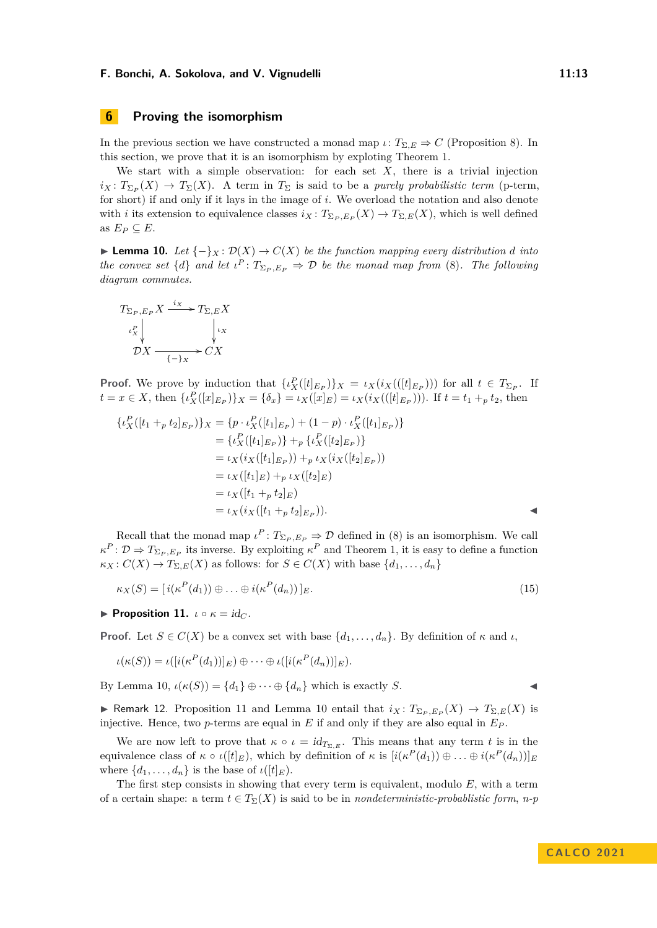# <span id="page-12-0"></span>**6 Proving the isomorphism**

In the previous section we have constructed a monad map *ι*:  $T_{\Sigma,E} \Rightarrow C$  (Proposition [8\)](#page-11-3). In this section, we prove that it is an isomorphism by exploting Theorem [1.](#page-1-2)

We start with a simple observation: for each set  $X$ , there is a trivial injection  $i_X: T_{\Sigma_P}(X) \to T_{\Sigma}(X)$ . A term in  $T_{\Sigma}$  is said to be a *purely probabilistic term* (p-term, for short) if and only if it lays in the image of *i*. We overload the notation and also denote with *i* its extension to equivalence classes  $i_X: T_{\Sigma_P, E_P}(X) \to T_{\Sigma, E}(X)$ , which is well defined as  $E_P \subseteq E$ .

<span id="page-12-1"></span>▶ **Lemma 10.** *Let*  $\{-\}_X : \mathcal{D}(X) \to C(X)$  *be the function mapping every distribution d into the convex set*  $\{d\}$  *and let*  $\iota^P: T_{\Sigma_P, E_P} \Rightarrow \mathcal{D}$  *be the monad map from* [\(8\)](#page-7-2). The following *diagram commutes.*

$$
T_{\Sigma_P, E_P} X \xrightarrow{i_X} T_{\Sigma, E} X
$$
  
\n
$$
\downarrow^{P}_{X}
$$
  
\n
$$
DX \xrightarrow{\qquad \qquad}_{\{-\}X} \circ C X
$$

**Proof.** We prove by induction that  $\{ \iota_X^P([t]_{E_P}) \}_X = \iota_X(i_X(([t]_{E_P})))$  for all  $t \in T_{\Sigma_P}$ . If  $t = x \in X$ , then  $\{\iota_X^P([x]_{E_P})\}_X = \{\delta_x\} = \iota_X([x]_E) = \iota_X(i_X(([t]_{E_P})))$ . If  $t = t_1 + t_2$ , then

$$
\{ \iota_X^P([t_1 +_p t_2]_{E_P}) \}_X = \{ p \cdot \iota_X^P([t_1]_{E_P}) + (1 - p) \cdot \iota_X^P([t_1]_{E_P}) \} = \{ \iota_X^P([t_1]_{E_P}) \} +_p \{ \iota_X^P([t_2]_{E_P}) \} = \iota_X(i_X([t_1]_{E_P})) +_p \iota_X(i_X([t_2]_{E_P})) = \iota_X([t_1]_E) +_p \iota_X([t_2]_E) = \iota_X([t_1 +_p t_2]_E) = \iota_X(i_X([t_1 +_p t_2]_{E_P})).
$$

Recall that the monad map  $\iota^P: T_{\Sigma_P, E_P} \to \mathcal{D}$  defined in [\(8\)](#page-7-2) is an isomorphism. We call  $\kappa^P$ :  $\mathcal{D} \Rightarrow T_{\Sigma_P, E_P}$  its inverse. By exploiting  $\kappa^P$  and Theorem [1,](#page-1-2) it is easy to define a function  $\kappa_X : C(X) \to T_{\Sigma,E}(X)$  as follows: for  $S \in C(X)$  with base  $\{d_1, \ldots, d_n\}$ 

$$
\kappa_X(S) = [i(\kappa^P(d_1)) \oplus \ldots \oplus i(\kappa^P(d_n))]_E.
$$
\n(15)

<span id="page-12-2"></span>**• Proposition 11.**  $\iota \circ \kappa = id_C$ .

**Proof.** Let  $S \in C(X)$  be a convex set with base  $\{d_1, \ldots, d_n\}$ . By definition of  $\kappa$  and  $\iota$ ,

$$
\iota(\kappa(S)) = \iota([i(\kappa^P(d_1))]_E) \oplus \cdots \oplus \iota([i(\kappa^P(d_n))]_E).
$$

By Lemma [10,](#page-12-1)  $\iota(\kappa(S)) = \{d_1\} \oplus \cdots \oplus \{d_n\}$  which is exactly *S*.

▶ Remark 12. Proposition [11](#page-12-2) and Lemma [10](#page-12-1) entail that  $i_X: T_{\Sigma_P, E_P}(X) \to T_{\Sigma, E}(X)$  is injective. Hence, two  $p$ -terms are equal in  $E$  if and only if they are also equal in  $E_P$ .

We are now left to prove that  $\kappa \circ \iota = id_{T_{\Sigma,E}}$ . This means that any term *t* is in the equivalence class of  $\kappa \circ \iota([t]_E)$ , which by definition of  $\kappa$  is  $[i(\kappa^P(d_1)) \oplus \ldots \oplus i(\kappa^P(d_n))]_E$ where  $\{d_1, \ldots, d_n\}$  is the base of  $\iota([t]_E)$ .

The first step consists in showing that every term is equivalent, modulo *E*, with a term of a certain shape: a term  $t \in T_{\Sigma}(X)$  is said to be in *nondeterministic-probablistic form, n-p*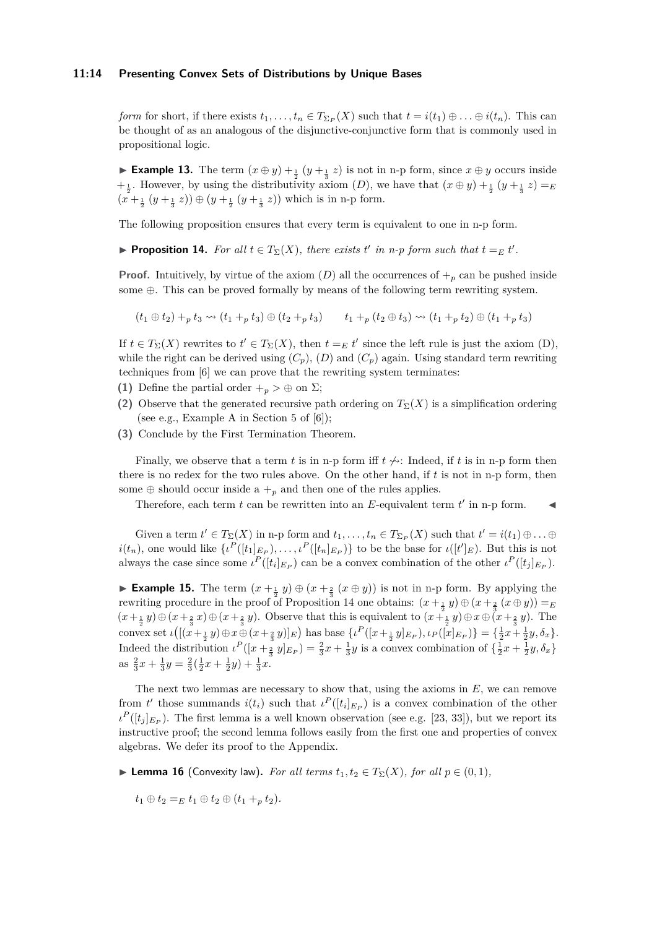#### **11:14 Presenting Convex Sets of Distributions by Unique Bases**

*form* for short, if there exists  $t_1, \ldots, t_n \in T_{\Sigma_P}(X)$  such that  $t = i(t_1) \oplus \ldots \oplus i(t_n)$ . This can be thought of as an analogous of the disjunctive-conjunctive form that is commonly used in propositional logic.

▶ **Example 13.** The term  $(x \oplus y) + \frac{1}{2}(y + \frac{1}{3}z)$  is not in n-p form, since  $x \oplus y$  occurs inside  $+\frac{1}{2}$ . However, by using the distributivity axiom (*D*), we have that  $(x \oplus y) + \frac{1}{2}(y + \frac{1}{3}z) = E$  $(x + \frac{1}{2}(y + \frac{1}{3}z)) \oplus (y + \frac{1}{2}(y + \frac{1}{3}z))$  which is in n-p form.

The following proposition ensures that every term is equivalent to one in n-p form.

<span id="page-13-0"></span>▶ **Proposition 14.** For all  $t \in T_{\Sigma}(X)$ , there exists  $t'$  in n-p form such that  $t =_E t'$ .

**Proof.** Intuitively, by virtue of the axiom  $(D)$  all the occurrences of  $+_p$  can be pushed inside some ⊕. This can be proved formally by means of the following term rewriting system.

$$
(t_1 \oplus t_2) +_p t_3 \rightsquigarrow (t_1 +_p t_3) \oplus (t_2 +_p t_3) \qquad t_1 +_p (t_2 \oplus t_3) \rightsquigarrow (t_1 +_p t_2) \oplus (t_1 +_p t_3)
$$

If  $t \in T_{\Sigma}(X)$  rewrites to  $t' \in T_{\Sigma}(X)$ , then  $t =_E t'$  since the left rule is just the axiom (D), while the right can be derived using  $(C_n)$ ,  $(D)$  and  $(C_n)$  again. Using standard term rewriting techniques from [\[6\]](#page-15-19) we can prove that the rewriting system terminates:

- **(1)** Define the partial order  $+_p > \oplus$  on  $\Sigma$ ;
- **(2)** Observe that the generated recursive path ordering on  $T_{\Sigma}(X)$  is a simplification ordering (see e.g., Example A in Section 5 of [\[6\]](#page-15-19));
- **(3)** Conclude by the First Termination Theorem.

Finally, we observe that a term *t* is in n-p form iff  $t \nleftrightarrow$ : Indeed, if *t* is in n-p form then there is no redex for the two rules above. On the other hand, if *t* is not in n-p form, then some  $\oplus$  should occur inside a  $+_{p}$  and then one of the rules applies.

Therefore, each term  $t$  can be rewritten into an  $E$ -equivalent term  $t'$  in n-p form.  $\blacktriangleleft$ 

Given a term  $t' \in T_{\Sigma}(X)$  in n-p form and  $t_1, \ldots, t_n \in T_{\Sigma_P}(X)$  such that  $t' = i(t_1) \oplus \ldots \oplus$  $i(t_n)$ , one would like  $\{t^P([t_1]_{E_P}),\ldots,t^P([t_n]_{E_P})\}$  to be the base for  $\iota([t']_E)$ . But this is not always the case since some  $\iota^P([t_i]_{E_P})$  can be a convex combination of the other  $\iota^P([t_j]_{E_P})$ .

▶ **Example 15.** The term  $(x + \frac{1}{2}y) \oplus (x + \frac{2}{3}(x \oplus y))$  is not in n-p form. By applying the rewriting procedure in the proof of Proposition [14](#page-13-0) one obtains:  $(x + \frac{1}{2}y) \oplus (x + \frac{2}{3}(x \oplus y)) = E$  $(x+\frac{1}{2}y)\oplus(x+\frac{2}{3}x)\oplus(x+\frac{2}{3}y)$ . Observe that this is equivalent to  $(x+\frac{1}{2}y)\oplus x\oplus(x+\frac{2}{3}y)$ . The convex set  $\iota\big( [(x + \frac{1}{2}y) \oplus x \oplus (x + \frac{2}{3}y)]_E \big)$  has base  $\{ \iota^P([x + \frac{1}{2}y]_{E_P}), \iota_P([x]_{E_P}) \} = \{ \frac{1}{2}x + \frac{1}{2}y, \delta_x \}.$ Indeed the distribution  $\iota^P([x+\frac{2}{3}y]_{E_P}) = \frac{2}{3}x + \frac{1}{3}y$  is a convex combination of  $\{\frac{1}{2}x + \frac{1}{2}y, \delta_x\}$ as  $\frac{2}{3}x + \frac{1}{3}y = \frac{2}{3}(\frac{1}{2}x + \frac{1}{2}y) + \frac{1}{3}x$ .

The next two lemmas are necessary to show that, using the axioms in *E*, we can remove from *t'* those summands  $i(t_i)$  such that  $\iota^P([t_i]_{E_P})$  is a convex combination of the other  $\iota^P([t_j]_{E_P})$ . The first lemma is a well known observation (see e.g. [\[23,](#page-16-8) [33\]](#page-16-5)), but we report its instructive proof; the second lemma follows easily from the first one and properties of convex algebras. We defer its proof to the Appendix.

- <span id="page-13-1"></span>▶ **Lemma 16** (Convexity law). For all terms  $t_1, t_2 \in T_\Sigma(X)$ , for all  $p \in (0, 1)$ ,
	- $t_1 \oplus t_2 =_E t_1 \oplus t_2 \oplus (t_1 +_p t_2).$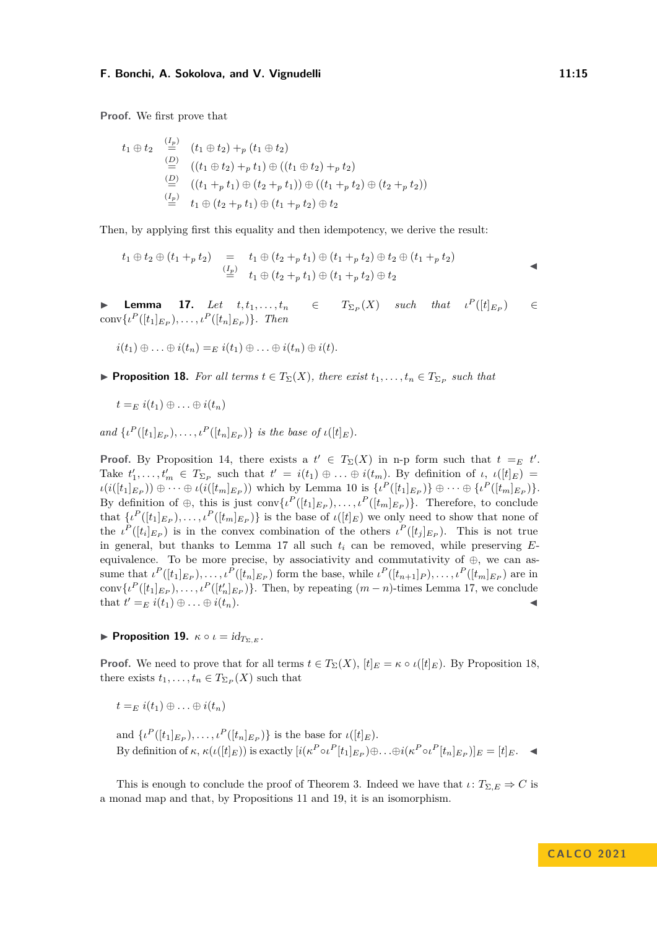**Proof.** We first prove that

(*Ip*)

$$
t_1 \oplus t_2 \xrightarrow{\tfrac{(I_p)}{2}} (t_1 \oplus t_2) +_p (t_1 \oplus t_2)
$$
  
\n
$$
\xrightarrow{\tbinom{(D)}{2}} ((t_1 \oplus t_2) +_p t_1) \oplus ((t_1 \oplus t_2) +_p t_2)
$$
  
\n
$$
\xrightarrow{\tbinom{(D)}{2}} ((t_1 +_p t_1) \oplus (t_2 +_p t_1)) \oplus ((t_1 +_p t_2) \oplus (t_2 +_p t_2))
$$
  
\n
$$
\xrightarrow{\tfrac{(I_p)}{2}} t_1 \oplus (t_2 +_p t_1) \oplus (t_1 +_p t_2) \oplus t_2
$$

Then, by applying first this equality and then idempotency, we derive the result:

$$
t_1 \oplus t_2 \oplus (t_1 +_p t_2) = t_1 \oplus (t_2 +_p t_1) \oplus (t_1 +_p t_2) \oplus t_2 \oplus (t_1 +_p t_2)
$$
  
\n
$$
\stackrel{(I_p)}{=} t_1 \oplus (t_2 +_p t_1) \oplus (t_1 +_p t_2) \oplus t_2
$$

<span id="page-14-0"></span>**Lemma** 17. *Let*  $t, t_1, \ldots, t_n$  $(X)$  *such that*  $\iota^{P}([t]_{E_{P}})$  $\in$  $conv\{\iota^P([t_1]_{E_P}), \ldots, \iota^P([t_n]_{E_P})\}.$  Then

$$
i(t_1) \oplus \ldots \oplus i(t_n) =_E i(t_1) \oplus \ldots \oplus i(t_n) \oplus i(t).
$$

<span id="page-14-1"></span>**• Proposition 18.** For all terms  $t \in T_{\Sigma}(X)$ , there exist  $t_1, \ldots, t_n \in T_{\Sigma_P}$  such that

$$
t =_E i(t_1) \oplus \ldots \oplus i(t_n)
$$

*and*  $\{ \iota^P([t_1]_{E_P}), \ldots, \iota^P([t_n]_{E_P}) \}$  *is the base of*  $\iota([t]_E)$ *.* 

**Proof.** By Proposition [14,](#page-13-0) there exists a  $t' \in T_{\Sigma}(X)$  in n-p form such that  $t =_E t'$ . Take  $t'_1, \ldots, t'_m \in T_{\Sigma_P}$  such that  $t' = i(t_1) \oplus \ldots \oplus i(t_m)$ . By definition of  $\iota, \iota([t]_E) =$  $\iota(i([t_1]_{E_P}))\oplus\cdots\oplus\iota(i([t_m]_{E_P}))$  which by Lemma [10](#page-12-1) is  $\{\iota^P([t_1]_{E_P})\}\oplus\cdots\oplus\{\iota^P([t_m]_{E_P})\}.$ By definition of  $\oplus$ , this is just conv $\{t^P([t_1]_{E_P}), \ldots, t^P([t_m]_{E_P})\}$ . Therefore, to conclude that  $\{i^P([t_1]_{E_P}), \ldots, i^P([t_m]_{E_P})\}$  is the base of  $\iota([t]_E)$  we only need to show that none of the  $\iota^P([t_i]_{E_P})$  is in the convex combination of the others  $\iota^P([t_j]_{E_P})$ . This is not true in general, but thanks to Lemma [17](#page-14-0) all such *t<sup>i</sup>* can be removed, while preserving *E*equivalence. To be more precise, by associativity and commutativity of ⊕, we can assume that  $\iota^P([t_1]_{E_P}), \ldots, \iota^P([t_n]_{E_P})$  form the base, while  $\iota^P([t_{n+1}]_P), \ldots, \iota^P([t_m]_{E_P})$  are in conv $\{i^P([t_1]_{E_P}), \ldots, i^P([t'_n]_{E_P})\}$ . Then, by repeating  $(m-n)$ -times Lemma [17,](#page-14-0) we conclude that  $t' =_E i(t_1) \oplus \ldots \oplus i(t_n)$ .

<span id="page-14-2"></span>**Proposition 19.**  $\kappa \circ \iota = id_{T_{\Sigma,E}}$ .

**Proof.** We need to prove that for all terms  $t \in T_{\Sigma}(X)$ ,  $[t]_E = \kappa \circ \iota([t]_E)$ . By Proposition [18,](#page-14-1) there exists  $t_1, \ldots, t_n \in T_{\Sigma_P}(X)$  such that

$$
t =_E i(t_1) \oplus \ldots \oplus i(t_n)
$$

and  $\{ \iota^P([t_1]_{E_P}), \ldots, \iota^P([t_n]_{E_P}) \}$  is the base for  $\iota([t]_E)$ . By definition of  $\kappa$ ,  $\kappa(\iota([t]_E))$  is exactly  $[i(\kappa^P \circ \iota^P[t_1]_{E_P}) \oplus \ldots \oplus i(\kappa^P \circ \iota^P[t_n]_{E_P})]_E = [t]_E$ .

This is enough to conclude the proof of Theorem [3.](#page-7-3) Indeed we have that  $\iota: T_{\Sigma,E} \Rightarrow C$  is a monad map and that, by Propositions [11](#page-12-2) and [19,](#page-14-2) it is an isomorphism.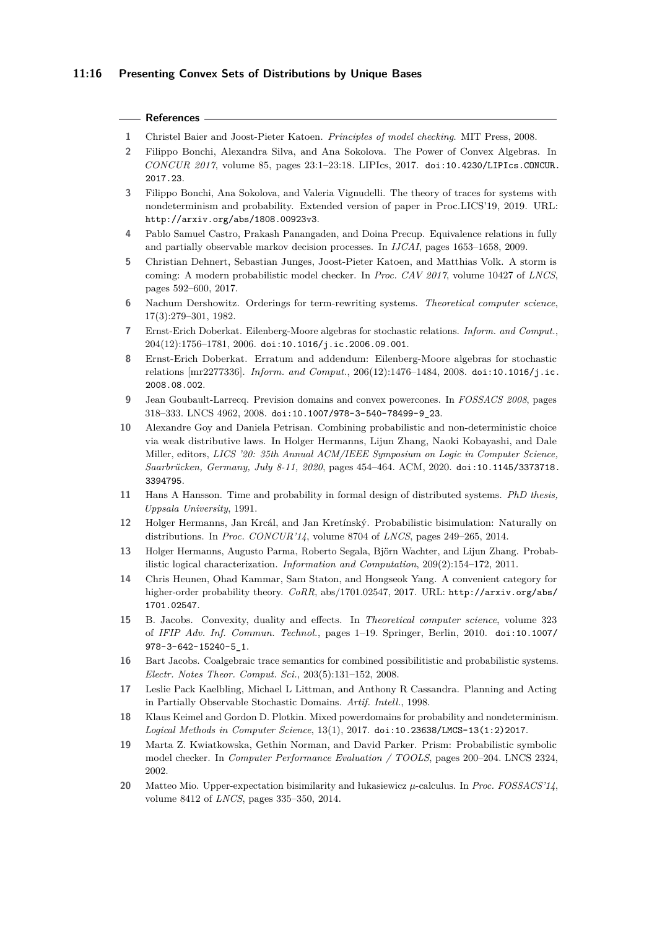#### **References**

- <span id="page-15-0"></span>**1** Christel Baier and Joost-Pieter Katoen. *Principles of model checking*. MIT Press, 2008.
- <span id="page-15-18"></span>**2** Filippo Bonchi, Alexandra Silva, and Ana Sokolova. The Power of Convex Algebras. In *CONCUR 2017*, volume 85, pages 23:1–23:18. LIPIcs, 2017. [doi:10.4230/LIPIcs.CONCUR.](https://doi.org/10.4230/LIPIcs.CONCUR.2017.23) [2017.23](https://doi.org/10.4230/LIPIcs.CONCUR.2017.23).
- <span id="page-15-14"></span>**3** Filippo Bonchi, Ana Sokolova, and Valeria Vignudelli. The theory of traces for systems with nondeterminism and probability. Extended version of paper in Proc.LICS'19, 2019. URL: <http://arxiv.org/abs/1808.00923v3>.
- <span id="page-15-5"></span>**4** Pablo Samuel Castro, Prakash Panangaden, and Doina Precup. Equivalence relations in fully and partially observable markov decision processes. In *IJCAI*, pages 1653–1658, 2009.
- <span id="page-15-3"></span>**5** Christian Dehnert, Sebastian Junges, Joost-Pieter Katoen, and Matthias Volk. A storm is coming: A modern probabilistic model checker. In *Proc. CAV 2017*, volume 10427 of *LNCS*, pages 592–600, 2017.
- <span id="page-15-19"></span>**6** Nachum Dershowitz. Orderings for term-rewriting systems. *Theoretical computer science*, 17(3):279–301, 1982.
- <span id="page-15-15"></span>**7** Ernst-Erich Doberkat. Eilenberg-Moore algebras for stochastic relations. *Inform. and Comput.*, 204(12):1756–1781, 2006. [doi:10.1016/j.ic.2006.09.001](https://doi.org/10.1016/j.ic.2006.09.001).
- <span id="page-15-16"></span>**8** Ernst-Erich Doberkat. Erratum and addendum: Eilenberg-Moore algebras for stochastic relations [mr2277336]. *Inform. and Comput.*, 206(12):1476–1484, 2008. [doi:10.1016/j.ic.](https://doi.org/10.1016/j.ic.2008.08.002) [2008.08.002](https://doi.org/10.1016/j.ic.2008.08.002).
- <span id="page-15-12"></span>**9** Jean Goubault-Larrecq. Prevision domains and convex powercones. In *FOSSACS 2008*, pages 318–333. LNCS 4962, 2008. [doi:10.1007/978-3-540-78499-9\\_23](https://doi.org/10.1007/978-3-540-78499-9_23).
- <span id="page-15-13"></span>**10** Alexandre Goy and Daniela Petrisan. Combining probabilistic and non-deterministic choice via weak distributive laws. In Holger Hermanns, Lijun Zhang, Naoki Kobayashi, and Dale Miller, editors, *LICS '20: 35th Annual ACM/IEEE Symposium on Logic in Computer Science, Saarbrücken, Germany, July 8-11, 2020*, pages 454–464. ACM, 2020. [doi:10.1145/3373718.](https://doi.org/10.1145/3373718.3394795) [3394795](https://doi.org/10.1145/3373718.3394795).
- <span id="page-15-4"></span>**11** Hans A Hansson. Time and probability in formal design of distributed systems. *PhD thesis, Uppsala University*, 1991.
- <span id="page-15-1"></span>**12** Holger Hermanns, Jan Krcál, and Jan Kretínský. Probabilistic bisimulation: Naturally on distributions. In *Proc. CONCUR'14*, volume 8704 of *LNCS*, pages 249–265, 2014.
- <span id="page-15-8"></span>**13** Holger Hermanns, Augusto Parma, Roberto Segala, Björn Wachter, and Lijun Zhang. Probabilistic logical characterization. *Information and Computation*, 209(2):154–172, 2011.
- <span id="page-15-7"></span>**14** Chris Heunen, Ohad Kammar, Sam Staton, and Hongseok Yang. A convenient category for higher-order probability theory. *CoRR*, abs/1701.02547, 2017. URL: [http://arxiv.org/abs/](http://arxiv.org/abs/1701.02547) [1701.02547](http://arxiv.org/abs/1701.02547).
- <span id="page-15-17"></span>**15** B. Jacobs. Convexity, duality and effects. In *Theoretical computer science*, volume 323 of *IFIP Adv. Inf. Commun. Technol.*, pages 1–19. Springer, Berlin, 2010. [doi:10.1007/](https://doi.org/10.1007/978-3-642-15240-5_1) [978-3-642-15240-5\\_1](https://doi.org/10.1007/978-3-642-15240-5_1).
- <span id="page-15-11"></span>**16** Bart Jacobs. Coalgebraic trace semantics for combined possibilitistic and probabilistic systems. *Electr. Notes Theor. Comput. Sci.*, 203(5):131–152, 2008.
- <span id="page-15-6"></span>**17** Leslie Pack Kaelbling, Michael L Littman, and Anthony R Cassandra. Planning and Acting in Partially Observable Stochastic Domains. *Artif. Intell.*, 1998.
- <span id="page-15-9"></span>**18** Klaus Keimel and Gordon D. Plotkin. Mixed powerdomains for probability and nondeterminism. *Logical Methods in Computer Science*, 13(1), 2017. [doi:10.23638/LMCS-13\(1:2\)2017](https://doi.org/10.23638/LMCS-13(1:2)2017).
- <span id="page-15-2"></span>**19** Marta Z. Kwiatkowska, Gethin Norman, and David Parker. Prism: Probabilistic symbolic model checker. In *Computer Performance Evaluation / TOOLS*, pages 200–204. LNCS 2324, 2002.
- <span id="page-15-10"></span>**20** Matteo Mio. Upper-expectation bisimilarity and łukasiewicz *µ*-calculus. In *Proc. FOSSACS'14*, volume 8412 of *LNCS*, pages 335–350, 2014.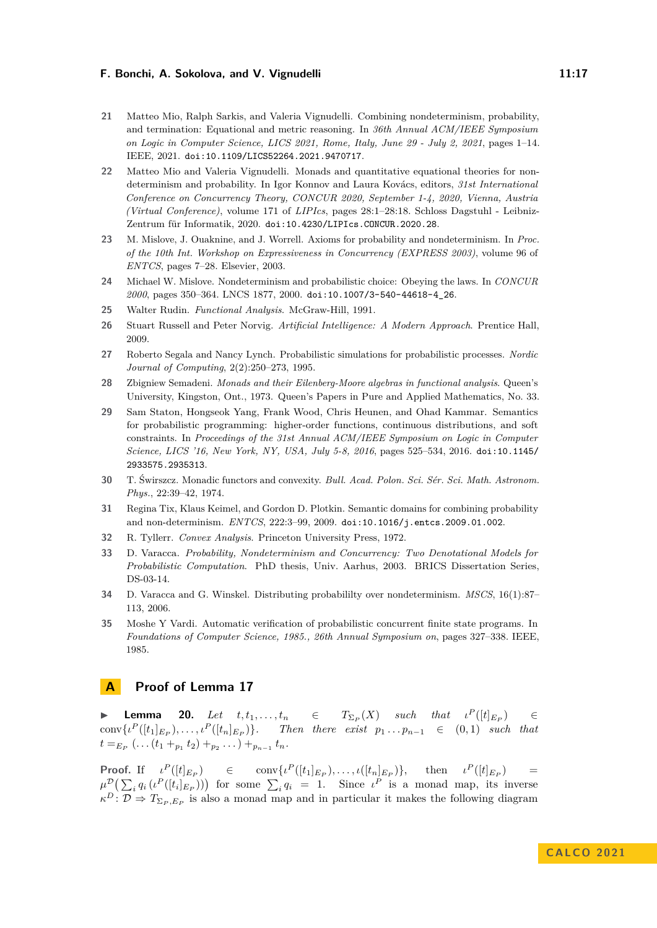- <span id="page-16-10"></span>**21** Matteo Mio, Ralph Sarkis, and Valeria Vignudelli. Combining nondeterminism, probability, and termination: Equational and metric reasoning. In *36th Annual ACM/IEEE Symposium on Logic in Computer Science, LICS 2021, Rome, Italy, June 29 - July 2, 2021*, pages 1–14. IEEE, 2021. [doi:10.1109/LICS52264.2021.9470717](https://doi.org/10.1109/LICS52264.2021.9470717).
- <span id="page-16-9"></span>**22** Matteo Mio and Valeria Vignudelli. Monads and quantitative equational theories for nondeterminism and probability. In Igor Konnov and Laura Kovács, editors, *31st International Conference on Concurrency Theory, CONCUR 2020, September 1-4, 2020, Vienna, Austria (Virtual Conference)*, volume 171 of *LIPIcs*, pages 28:1–28:18. Schloss Dagstuhl - Leibniz-Zentrum für Informatik, 2020. [doi:10.4230/LIPIcs.CONCUR.2020.28](https://doi.org/10.4230/LIPIcs.CONCUR.2020.28).
- <span id="page-16-8"></span>**23** M. Mislove, J. Ouaknine, and J. Worrell. Axioms for probability and nondeterminism. In *Proc. of the 10th Int. Workshop on Expressiveness in Concurrency (EXPRESS 2003)*, volume 96 of *ENTCS*, pages 7–28. Elsevier, 2003.
- <span id="page-16-6"></span>**24** Michael W. Mislove. Nondeterminism and probabilistic choice: Obeying the laws. In *CONCUR 2000*, pages 350–364. LNCS 1877, 2000. [doi:10.1007/3-540-44618-4\\_26](https://doi.org/10.1007/3-540-44618-4_26).
- <span id="page-16-11"></span>**25** Walter Rudin. *Functional Analysis*. McGraw-Hill, 1991.
- <span id="page-16-2"></span>**26** Stuart Russell and Peter Norvig. *Artificial Intelligence: A Modern Approach*. Prentice Hall, 2009.
- <span id="page-16-1"></span>**27** Roberto Segala and Nancy Lynch. Probabilistic simulations for probabilistic processes. *Nordic Journal of Computing*, 2(2):250–273, 1995.
- <span id="page-16-14"></span>**28** Zbigniew Semadeni. *Monads and their Eilenberg-Moore algebras in functional analysis*. Queen's University, Kingston, Ont., 1973. Queen's Papers in Pure and Applied Mathematics, No. 33.
- <span id="page-16-3"></span>**29** Sam Staton, Hongseok Yang, Frank Wood, Chris Heunen, and Ohad Kammar. Semantics for probabilistic programming: higher-order functions, continuous distributions, and soft constraints. In *Proceedings of the 31st Annual ACM/IEEE Symposium on Logic in Computer Science, LICS '16, New York, NY, USA, July 5-8, 2016*, pages 525–534, 2016. [doi:10.1145/](https://doi.org/10.1145/2933575.2935313) [2933575.2935313](https://doi.org/10.1145/2933575.2935313).
- <span id="page-16-13"></span>**30** T. Świrszcz. Monadic functors and convexity. *Bull. Acad. Polon. Sci. Sér. Sci. Math. Astronom. Phys.*, 22:39–42, 1974.
- <span id="page-16-7"></span>**31** Regina Tix, Klaus Keimel, and Gordon D. Plotkin. Semantic domains for combining probability and non-determinism. *ENTCS*, 222:3–99, 2009. [doi:10.1016/j.entcs.2009.01.002](https://doi.org/10.1016/j.entcs.2009.01.002).
- <span id="page-16-12"></span>**32** R. Tyllerr. *Convex Analysis*. Princeton University Press, 1972.
- <span id="page-16-5"></span>**33** D. Varacca. *Probability, Nondeterminism and Concurrency: Two Denotational Models for Probabilistic Computation*. PhD thesis, Univ. Aarhus, 2003. BRICS Dissertation Series, DS-03-14.
- <span id="page-16-4"></span>**34** D. Varacca and G. Winskel. Distributing probabililty over nondeterminism. *MSCS*, 16(1):87– 113, 2006.
- <span id="page-16-0"></span>**35** Moshe Y Vardi. Automatic verification of probabilistic concurrent finite state programs. In *Foundations of Computer Science, 1985., 26th Annual Symposium on*, pages 327–338. IEEE, 1985.

# **A Proof of Lemma [17](#page-14-0)**

<span id="page-16-15"></span>**Lemma** 20. *Let*  $t, t_1, \ldots, t_n$  ∈  $(X)$  *such that*  $\iota^P([t]_{E_F})$  $\in$  $conv\{t^P([t_1]_{E_P}), \ldots, t^P([t_n]_{E_P})\}.$  Then there exist  $p_1 \ldots p_{n-1} \in (0,1)$  such that  $t =_{E_P}$  (*.* . .  $(t_1 +_{p_1} t_2) +_{p_2}$  . . . ) +  $_{p_{n-1}} t_n$ .

**Proof.** If  $\iota^{P}([t]_{E_P})$   $\in$   $\text{conv}\{\iota^{P}([t_1]_{E_P}), \ldots, \iota([t_n]_{E_P})\}, \text{ then } \iota^{P}([t]_{E_P})$  =  $\mu^{\mathcal{D}}\left(\sum_{i} q_i \left( i^P([t_i]_{E_P}) \right) \right)$  for some  $\sum_{i} q_i = 1$ . Since  $\iota^P$  is a monad map, its inverse  $\kappa^D$ :  $\mathcal{D} \Rightarrow T_{\Sigma_P, E_P}$  is also a monad map and in particular it makes the following diagram